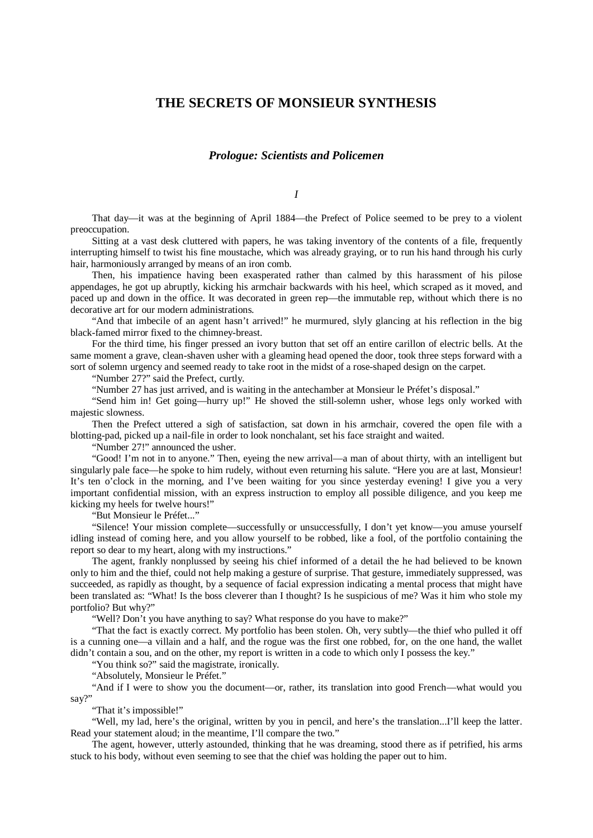## **THE SECRETS OF MONSIEUR SYNTHESIS**

## *Prologue: Scientists and Policemen*

*I*

That day—it was at the beginning of April 1884—the Prefect of Police seemed to be prey to a violent preoccupation.

Sitting at a vast desk cluttered with papers, he was taking inventory of the contents of a file, frequently interrupting himself to twist his fine moustache, which was already graying, or to run his hand through his curly hair, harmoniously arranged by means of an iron comb.

Then, his impatience having been exasperated rather than calmed by this harassment of his pilose appendages, he got up abruptly, kicking his armchair backwards with his heel, which scraped as it moved, and paced up and down in the office. It was decorated in green rep—the immutable rep, without which there is no decorative art for our modern administrations.

"And that imbecile of an agent hasn't arrived!" he murmured, slyly glancing at his reflection in the big black-famed mirror fixed to the chimney-breast.

For the third time, his finger pressed an ivory button that set off an entire carillon of electric bells. At the same moment a grave, clean-shaven usher with a gleaming head opened the door, took three steps forward with a sort of solemn urgency and seemed ready to take root in the midst of a rose-shaped design on the carpet.

"Number 27?" said the Prefect, curtly.

"Number 27 has just arrived, and is waiting in the antechamber at Monsieur le Préfet's disposal."

"Send him in! Get going—hurry up!" He shoved the still-solemn usher, whose legs only worked with majestic slowness.

Then the Prefect uttered a sigh of satisfaction, sat down in his armchair, covered the open file with a blotting-pad, picked up a nail-file in order to look nonchalant, set his face straight and waited.

"Number 27!" announced the usher.

"Good! I'm not in to anyone." Then, eyeing the new arrival—a man of about thirty, with an intelligent but singularly pale face—he spoke to him rudely, without even returning his salute. "Here you are at last, Monsieur! It's ten o'clock in the morning, and I've been waiting for you since yesterday evening! I give you a very important confidential mission, with an express instruction to employ all possible diligence, and you keep me kicking my heels for twelve hours!"

"But Monsieur le Préfet..."

"Silence! Your mission complete—successfully or unsuccessfully, I don't yet know—you amuse yourself idling instead of coming here, and you allow yourself to be robbed, like a fool, of the portfolio containing the report so dear to my heart, along with my instructions."

The agent, frankly nonplussed by seeing his chief informed of a detail the he had believed to be known only to him and the thief, could not help making a gesture of surprise. That gesture, immediately suppressed, was succeeded, as rapidly as thought, by a sequence of facial expression indicating a mental process that might have been translated as: "What! Is the boss cleverer than I thought? Is he suspicious of me? Was it him who stole my portfolio? But why?"

"Well? Don't you have anything to say? What response do you have to make?"

"That the fact is exactly correct. My portfolio has been stolen. Oh, very subtly—the thief who pulled it off is a cunning one—a villain and a half, and the rogue was the first one robbed, for, on the one hand, the wallet didn't contain a sou, and on the other, my report is written in a code to which only I possess the key."

"You think so?" said the magistrate, ironically.

"Absolutely, Monsieur le Préfet."

"And if I were to show you the document—or, rather, its translation into good French—what would you say?

"That it's impossible!"

"Well, my lad, here's the original, written by you in pencil, and here's the translation...I'll keep the latter. Read your statement aloud; in the meantime, I'll compare the two."

The agent, however, utterly astounded, thinking that he was dreaming, stood there as if petrified, his arms stuck to his body, without even seeming to see that the chief was holding the paper out to him.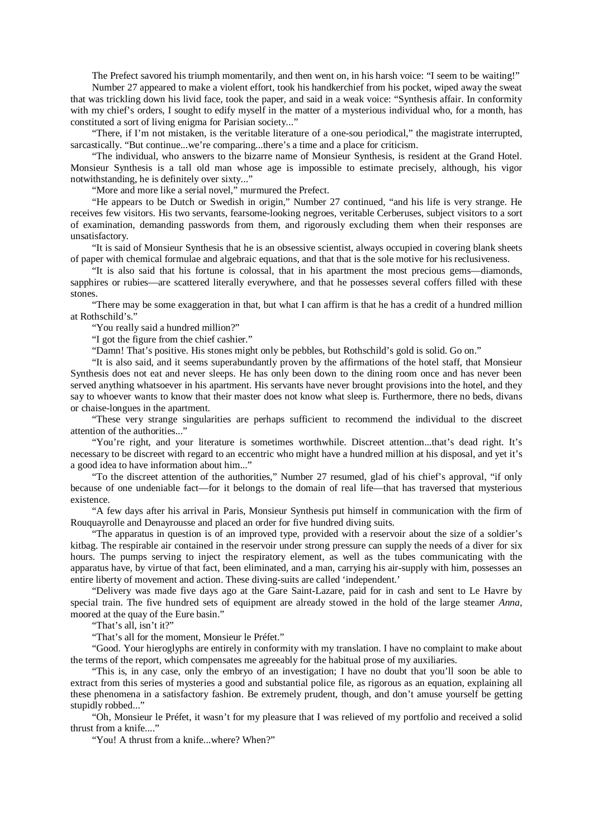The Prefect savored his triumph momentarily, and then went on, in his harsh voice: "I seem to be waiting!"

Number 27 appeared to make a violent effort, took his handkerchief from his pocket, wiped away the sweat that was trickling down his livid face, took the paper, and said in a weak voice: "Synthesis affair. In conformity with my chief's orders, I sought to edify myself in the matter of a mysterious individual who, for a month, has constituted a sort of living enigma for Parisian society..."

"There, if I'm not mistaken, is the veritable literature of a one-sou periodical," the magistrate interrupted, sarcastically. "But continue...we're comparing...there's a time and a place for criticism.

"The individual, who answers to the bizarre name of Monsieur Synthesis, is resident at the Grand Hotel. Monsieur Synthesis is a tall old man whose age is impossible to estimate precisely, although, his vigor notwithstanding, he is definitely over sixty..."

"More and more like a serial novel," murmured the Prefect.

"He appears to be Dutch or Swedish in origin," Number 27 continued, "and his life is very strange. He receives few visitors. His two servants, fearsome-looking negroes, veritable Cerberuses, subject visitors to a sort of examination, demanding passwords from them, and rigorously excluding them when their responses are unsatisfactory.

"It is said of Monsieur Synthesis that he is an obsessive scientist, always occupied in covering blank sheets of paper with chemical formulae and algebraic equations, and that that is the sole motive for his reclusiveness.

"It is also said that his fortune is colossal, that in his apartment the most precious gems—diamonds, sapphires or rubies—are scattered literally everywhere, and that he possesses several coffers filled with these stones.

"There may be some exaggeration in that, but what I can affirm is that he has a credit of a hundred million at Rothschild's."

"You really said a hundred million?"

"I got the figure from the chief cashier."

"Damn! That's positive. His stones might only be pebbles, but Rothschild's gold is solid. Go on."

"It is also said, and it seems superabundantly proven by the affirmations of the hotel staff, that Monsieur Synthesis does not eat and never sleeps. He has only been down to the dining room once and has never been served anything whatsoever in his apartment. His servants have never brought provisions into the hotel, and they say to whoever wants to know that their master does not know what sleep is. Furthermore, there no beds, divans or chaise-longues in the apartment.

"These very strange singularities are perhaps sufficient to recommend the individual to the discreet attention of the authorities..."

"You're right, and your literature is sometimes worthwhile. Discreet attention...that's dead right. It's necessary to be discreet with regard to an eccentric who might have a hundred million at his disposal, and yet it's a good idea to have information about him..."

"To the discreet attention of the authorities," Number 27 resumed, glad of his chief's approval, "if only because of one undeniable fact—for it belongs to the domain of real life—that has traversed that mysterious existence.

"A few days after his arrival in Paris, Monsieur Synthesis put himself in communication with the firm of Rouquayrolle and Denayrousse and placed an order for five hundred diving suits.

"The apparatus in question is of an improved type, provided with a reservoir about the size of a soldier's kitbag. The respirable air contained in the reservoir under strong pressure can supply the needs of a diver for six hours. The pumps serving to inject the respiratory element, as well as the tubes communicating with the apparatus have, by virtue of that fact, been eliminated, and a man, carrying his air-supply with him, possesses an entire liberty of movement and action. These diving-suits are called 'independent.'

"Delivery was made five days ago at the Gare Saint-Lazare, paid for in cash and sent to Le Havre by special train. The five hundred sets of equipment are already stowed in the hold of the large steamer *Anna*, moored at the quay of the Eure basin."

"That's all, isn't it?"

"That's all for the moment, Monsieur le Préfet."

"Good. Your hieroglyphs are entirely in conformity with my translation. I have no complaint to make about the terms of the report, which compensates me agreeably for the habitual prose of my auxiliaries.

"This is, in any case, only the embryo of an investigation; I have no doubt that you'll soon be able to extract from this series of mysteries a good and substantial police file, as rigorous as an equation, explaining all these phenomena in a satisfactory fashion. Be extremely prudent, though, and don't amuse yourself be getting stupidly robbed..."

"Oh, Monsieur le Préfet, it wasn't for my pleasure that I was relieved of my portfolio and received a solid thrust from a knife...."

"You! A thrust from a knife...where? When?"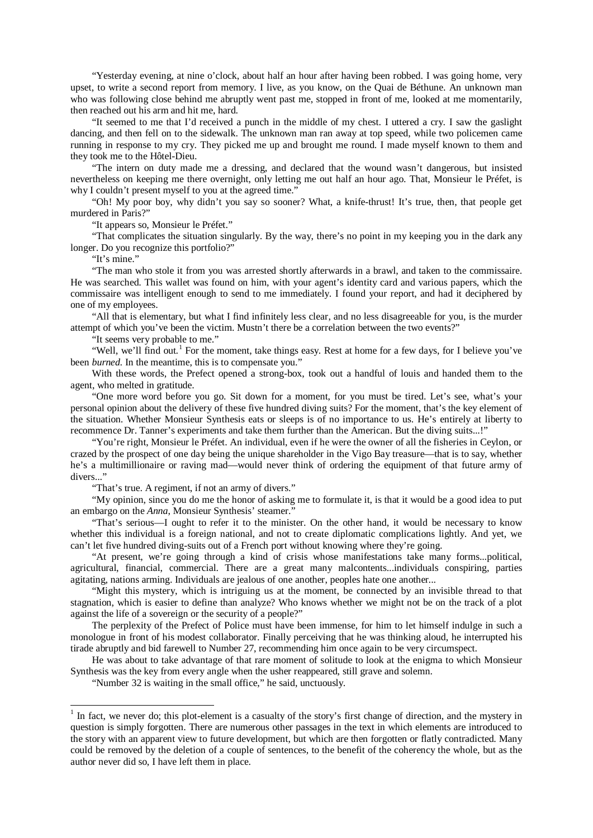"Yesterday evening, at nine o'clock, about half an hour after having been robbed. I was going home, very upset, to write a second report from memory. I live, as you know, on the Quai de Béthune. An unknown man who was following close behind me abruptly went past me, stopped in front of me, looked at me momentarily, then reached out his arm and hit me, hard.

"It seemed to me that I'd received a punch in the middle of my chest. I uttered a cry. I saw the gaslight dancing, and then fell on to the sidewalk. The unknown man ran away at top speed, while two policemen came running in response to my cry. They picked me up and brought me round. I made myself known to them and they took me to the Hôtel-Dieu.

"The intern on duty made me a dressing, and declared that the wound wasn't dangerous, but insisted nevertheless on keeping me there overnight, only letting me out half an hour ago. That, Monsieur le Préfet, is why I couldn't present myself to you at the agreed time."

"Oh! My poor boy, why didn't you say so sooner? What, a knife-thrust! It's true, then, that people get murdered in Paris?"

"It appears so, Monsieur le Préfet."

"That complicates the situation singularly. By the way, there's no point in my keeping you in the dark any longer. Do you recognize this portfolio?"

"It's mine."

"The man who stole it from you was arrested shortly afterwards in a brawl, and taken to the commissaire. He was searched. This wallet was found on him, with your agent's identity card and various papers, which the commissaire was intelligent enough to send to me immediately. I found your report, and had it deciphered by one of my employees.

"All that is elementary, but what I find infinitely less clear, and no less disagreeable for you, is the murder attempt of which you've been the victim. Mustn't there be a correlation between the two events?"

"It seems very probable to me."

"Well, we'll find out.<sup>[1](#page-2-0)</sup> For the moment, take things easy. Rest at home for a few days, for I believe you've been *burned*. In the meantime, this is to compensate you."

With these words, the Prefect opened a strong-box, took out a handful of louis and handed them to the agent, who melted in gratitude.

"One more word before you go. Sit down for a moment, for you must be tired. Let's see, what's your personal opinion about the delivery of these five hundred diving suits? For the moment, that's the key element of the situation. Whether Monsieur Synthesis eats or sleeps is of no importance to us. He's entirely at liberty to recommence Dr. Tanner's experiments and take them further than the American. But the diving suits...!"

"You're right, Monsieur le Préfet. An individual, even if he were the owner of all the fisheries in Ceylon, or crazed by the prospect of one day being the unique shareholder in the Vigo Bay treasure—that is to say, whether he's a multimillionaire or raving mad—would never think of ordering the equipment of that future army of divers..."

"That's true. A regiment, if not an army of divers."

"My opinion, since you do me the honor of asking me to formulate it, is that it would be a good idea to put an embargo on the *Anna*, Monsieur Synthesis' steamer."

"That's serious—I ought to refer it to the minister. On the other hand, it would be necessary to know whether this individual is a foreign national, and not to create diplomatic complications lightly. And yet, we can't let five hundred diving-suits out of a French port without knowing where they're going.

"At present, we're going through a kind of crisis whose manifestations take many forms...political, agricultural, financial, commercial. There are a great many malcontents...individuals conspiring, parties agitating, nations arming. Individuals are jealous of one another, peoples hate one another...

"Might this mystery, which is intriguing us at the moment, be connected by an invisible thread to that stagnation, which is easier to define than analyze? Who knows whether we might not be on the track of a plot against the life of a sovereign or the security of a people?"

The perplexity of the Prefect of Police must have been immense, for him to let himself indulge in such a monologue in front of his modest collaborator. Finally perceiving that he was thinking aloud, he interrupted his tirade abruptly and bid farewell to Number 27, recommending him once again to be very circumspect.

He was about to take advantage of that rare moment of solitude to look at the enigma to which Monsieur Synthesis was the key from every angle when the usher reappeared, still grave and solemn.

"Number 32 is waiting in the small office," he said, unctuously.

<span id="page-2-0"></span> $<sup>1</sup>$  In fact, we never do; this plot-element is a casualty of the story's first change of direction, and the mystery in</sup> question is simply forgotten. There are numerous other passages in the text in which elements are introduced to the story with an apparent view to future development, but which are then forgotten or flatly contradicted. Many could be removed by the deletion of a couple of sentences, to the benefit of the coherency the whole, but as the author never did so, I have left them in place.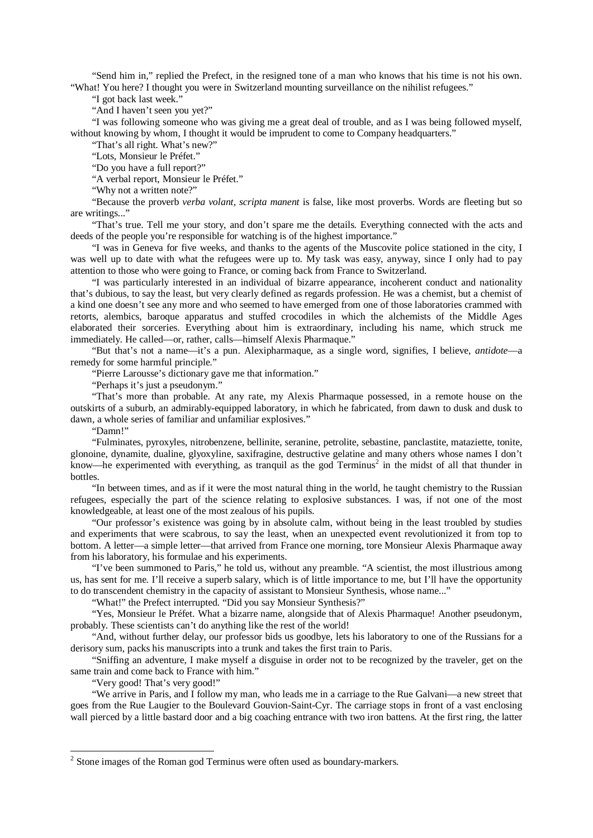"Send him in," replied the Prefect, in the resigned tone of a man who knows that his time is not his own. "What! You here? I thought you were in Switzerland mounting surveillance on the nihilist refugees."

"I got back last week."

"And I haven't seen you yet?"

"I was following someone who was giving me a great deal of trouble, and as I was being followed myself, without knowing by whom, I thought it would be imprudent to come to Company headquarters."

"That's all right. What's new?"

"Lots, Monsieur le Préfet."

"Do you have a full report?"

"A verbal report, Monsieur le Préfet."

"Why not a written note?"

"Because the proverb *verba volant, scripta manent* is false, like most proverbs. Words are fleeting but so are writings..."

"That's true. Tell me your story, and don't spare me the details. Everything connected with the acts and deeds of the people you're responsible for watching is of the highest importance."

"I was in Geneva for five weeks, and thanks to the agents of the Muscovite police stationed in the city, I was well up to date with what the refugees were up to. My task was easy, anyway, since I only had to pay attention to those who were going to France, or coming back from France to Switzerland.

"I was particularly interested in an individual of bizarre appearance, incoherent conduct and nationality that's dubious, to say the least, but very clearly defined as regards profession. He was a chemist, but a chemist of a kind one doesn't see any more and who seemed to have emerged from one of those laboratories crammed with retorts, alembics, baroque apparatus and stuffed crocodiles in which the alchemists of the Middle Ages elaborated their sorceries. Everything about him is extraordinary, including his name, which struck me immediately. He called—or, rather, calls—himself Alexis Pharmaque."

"But that's not a name—it's a pun. Alexipharmaque, as a single word, signifies, I believe, *antidote*—a remedy for some harmful principle."

"Pierre Larousse's dictionary gave me that information."

"Perhaps it's just a pseudonym."

"That's more than probable. At any rate, my Alexis Pharmaque possessed, in a remote house on the outskirts of a suburb, an admirably-equipped laboratory, in which he fabricated, from dawn to dusk and dusk to dawn, a whole series of familiar and unfamiliar explosives."

"Damn!"

"Fulminates, pyroxyles, nitrobenzene, bellinite, seranine, petrolite, sebastine, panclastite, mataziette, tonite, glonoine, dynamite, dualine, glyoxyline, saxifragine, destructive gelatine and many others whose names I don't know—he experimented with everything, as tranquil as the god Terminus<sup>[2](#page-3-0)</sup> in the midst of all that thunder in bottles.

"In between times, and as if it were the most natural thing in the world, he taught chemistry to the Russian refugees, especially the part of the science relating to explosive substances. I was, if not one of the most knowledgeable, at least one of the most zealous of his pupils.

"Our professor's existence was going by in absolute calm, without being in the least troubled by studies and experiments that were scabrous, to say the least, when an unexpected event revolutionized it from top to bottom. A letter—a simple letter—that arrived from France one morning, tore Monsieur Alexis Pharmaque away from his laboratory, his formulae and his experiments.

"I've been summoned to Paris," he told us, without any preamble. "A scientist, the most illustrious among us, has sent for me. I'll receive a superb salary, which is of little importance to me, but I'll have the opportunity to do transcendent chemistry in the capacity of assistant to Monsieur Synthesis, whose name..."

"What!" the Prefect interrupted. "Did you say Monsieur Synthesis?"

"Yes, Monsieur le Préfet. What a bizarre name, alongside that of Alexis Pharmaque! Another pseudonym, probably. These scientists can't do anything like the rest of the world!

"And, without further delay, our professor bids us goodbye, lets his laboratory to one of the Russians for a derisory sum, packs his manuscripts into a trunk and takes the first train to Paris.

"Sniffing an adventure, I make myself a disguise in order not to be recognized by the traveler, get on the same train and come back to France with him."

"Very good! That's very good!"

"We arrive in Paris, and I follow my man, who leads me in a carriage to the Rue Galvani—a new street that goes from the Rue Laugier to the Boulevard Gouvion-Saint-Cyr. The carriage stops in front of a vast enclosing wall pierced by a little bastard door and a big coaching entrance with two iron battens. At the first ring, the latter

<span id="page-3-0"></span><sup>&</sup>lt;sup>2</sup> Stone images of the Roman god Terminus were often used as boundary-markers.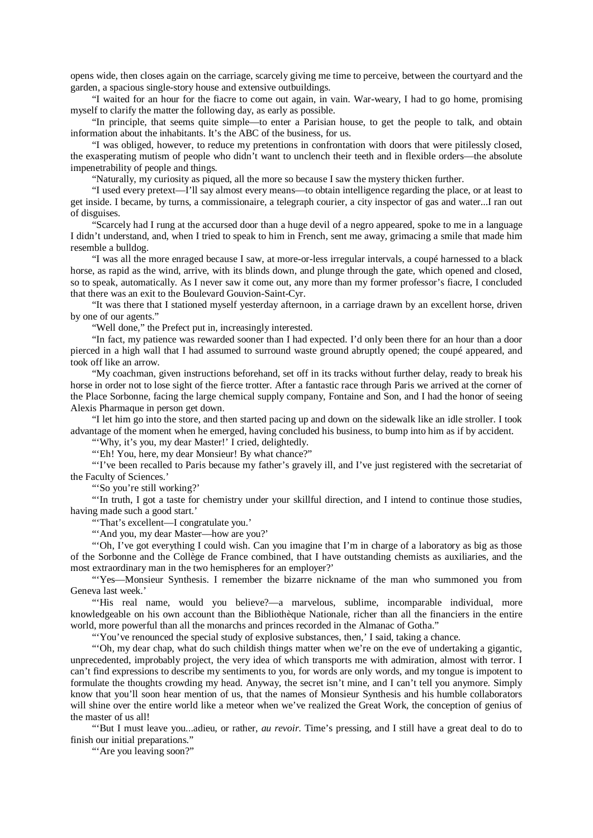opens wide, then closes again on the carriage, scarcely giving me time to perceive, between the courtyard and the garden, a spacious single-story house and extensive outbuildings.

"I waited for an hour for the fiacre to come out again, in vain. War-weary, I had to go home, promising myself to clarify the matter the following day, as early as possible.

"In principle, that seems quite simple—to enter a Parisian house, to get the people to talk, and obtain information about the inhabitants. It's the ABC of the business, for us.

"I was obliged, however, to reduce my pretentions in confrontation with doors that were pitilessly closed, the exasperating mutism of people who didn't want to unclench their teeth and in flexible orders—the absolute impenetrability of people and things.

"Naturally, my curiosity as piqued, all the more so because I saw the mystery thicken further.

"I used every pretext—I'll say almost every means—to obtain intelligence regarding the place, or at least to get inside. I became, by turns, a commissionaire, a telegraph courier, a city inspector of gas and water...I ran out of disguises.

"Scarcely had I rung at the accursed door than a huge devil of a negro appeared, spoke to me in a language I didn't understand, and, when I tried to speak to him in French, sent me away, grimacing a smile that made him resemble a bulldog.

"I was all the more enraged because I saw, at more-or-less irregular intervals, a coupé harnessed to a black horse, as rapid as the wind, arrive, with its blinds down, and plunge through the gate, which opened and closed, so to speak, automatically. As I never saw it come out, any more than my former professor's fiacre, I concluded that there was an exit to the Boulevard Gouvion-Saint-Cyr.

"It was there that I stationed myself yesterday afternoon, in a carriage drawn by an excellent horse, driven by one of our agents."

"Well done," the Prefect put in, increasingly interested.

"In fact, my patience was rewarded sooner than I had expected. I'd only been there for an hour than a door pierced in a high wall that I had assumed to surround waste ground abruptly opened; the coupé appeared, and took off like an arrow.

"My coachman, given instructions beforehand, set off in its tracks without further delay, ready to break his horse in order not to lose sight of the fierce trotter. After a fantastic race through Paris we arrived at the corner of the Place Sorbonne, facing the large chemical supply company, Fontaine and Son, and I had the honor of seeing Alexis Pharmaque in person get down.

"I let him go into the store, and then started pacing up and down on the sidewalk like an idle stroller. I took advantage of the moment when he emerged, having concluded his business, to bump into him as if by accident.

"'Why, it's you, my dear Master!' I cried, delightedly.

"'Eh! You, here, my dear Monsieur! By what chance?"

"'I've been recalled to Paris because my father's gravely ill, and I've just registered with the secretariat of the Faculty of Sciences.'

"'So you're still working?'

"'In truth, I got a taste for chemistry under your skillful direction, and I intend to continue those studies, having made such a good start.'

"'That's excellent—I congratulate you.'

"'And you, my dear Master—how are you?'

"'Oh, I've got everything I could wish. Can you imagine that I'm in charge of a laboratory as big as those of the Sorbonne and the Collège de France combined, that I have outstanding chemists as auxiliaries, and the most extraordinary man in the two hemispheres for an employer?'

"'Yes—Monsieur Synthesis. I remember the bizarre nickname of the man who summoned you from Geneva last week.'

"'His real name, would you believe?—a marvelous, sublime, incomparable individual, more knowledgeable on his own account than the Bibliothèque Nationale, richer than all the financiers in the entire world, more powerful than all the monarchs and princes recorded in the Almanac of Gotha."

"'You've renounced the special study of explosive substances, then,' I said, taking a chance.

"'Oh, my dear chap, what do such childish things matter when we're on the eve of undertaking a gigantic, unprecedented, improbably project, the very idea of which transports me with admiration, almost with terror. I can't find expressions to describe my sentiments to you, for words are only words, and my tongue is impotent to formulate the thoughts crowding my head. Anyway, the secret isn't mine, and I can't tell you anymore. Simply know that you'll soon hear mention of us, that the names of Monsieur Synthesis and his humble collaborators will shine over the entire world like a meteor when we've realized the Great Work, the conception of genius of the master of us all!

"'But I must leave you...adieu, or rather, *au revoir*. Time's pressing, and I still have a great deal to do to finish our initial preparations."

"'Are you leaving soon?"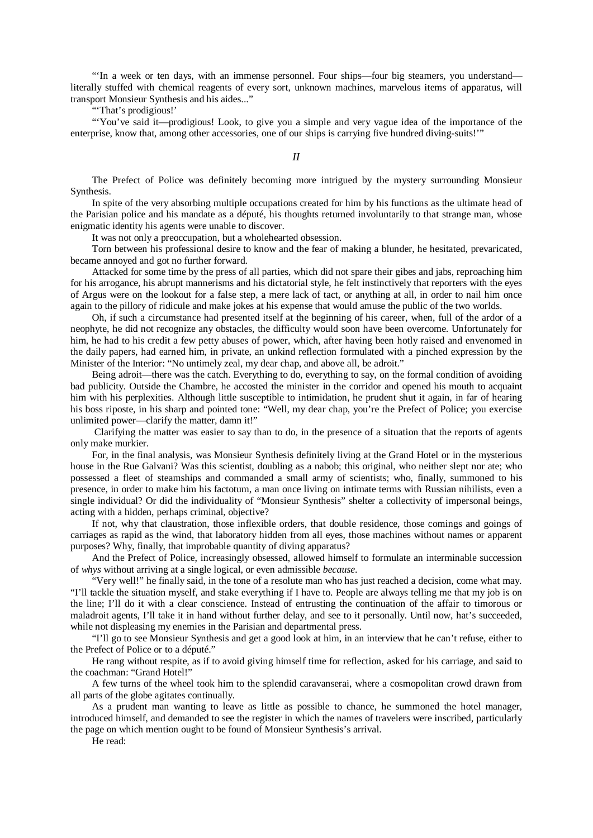"'In a week or ten days, with an immense personnel. Four ships—four big steamers, you understand literally stuffed with chemical reagents of every sort, unknown machines, marvelous items of apparatus, will transport Monsieur Synthesis and his aides..."

"That's prodigious!"

"'You've said it—prodigious! Look, to give you a simple and very vague idea of the importance of the enterprise, know that, among other accessories, one of our ships is carrying five hundred diving-suits!'"

*II*

The Prefect of Police was definitely becoming more intrigued by the mystery surrounding Monsieur Synthesis.

In spite of the very absorbing multiple occupations created for him by his functions as the ultimate head of the Parisian police and his mandate as a député, his thoughts returned involuntarily to that strange man, whose enigmatic identity his agents were unable to discover.

It was not only a preoccupation, but a wholehearted obsession.

Torn between his professional desire to know and the fear of making a blunder, he hesitated, prevaricated, became annoyed and got no further forward.

Attacked for some time by the press of all parties, which did not spare their gibes and jabs, reproaching him for his arrogance, his abrupt mannerisms and his dictatorial style, he felt instinctively that reporters with the eyes of Argus were on the lookout for a false step, a mere lack of tact, or anything at all, in order to nail him once again to the pillory of ridicule and make jokes at his expense that would amuse the public of the two worlds.

Oh, if such a circumstance had presented itself at the beginning of his career, when, full of the ardor of a neophyte, he did not recognize any obstacles, the difficulty would soon have been overcome. Unfortunately for him, he had to his credit a few petty abuses of power, which, after having been hotly raised and envenomed in the daily papers, had earned him, in private, an unkind reflection formulated with a pinched expression by the Minister of the Interior: "No untimely zeal, my dear chap, and above all, be adroit."

Being adroit—there was the catch. Everything to do, everything to say, on the formal condition of avoiding bad publicity. Outside the Chambre, he accosted the minister in the corridor and opened his mouth to acquaint him with his perplexities. Although little susceptible to intimidation, he prudent shut it again, in far of hearing his boss riposte, in his sharp and pointed tone: "Well, my dear chap, you're the Prefect of Police; you exercise unlimited power—clarify the matter, damn it!"

Clarifying the matter was easier to say than to do, in the presence of a situation that the reports of agents only make murkier.

For, in the final analysis, was Monsieur Synthesis definitely living at the Grand Hotel or in the mysterious house in the Rue Galvani? Was this scientist, doubling as a nabob; this original, who neither slept nor ate; who possessed a fleet of steamships and commanded a small army of scientists; who, finally, summoned to his presence, in order to make him his factotum, a man once living on intimate terms with Russian nihilists, even a single individual? Or did the individuality of "Monsieur Synthesis" shelter a collectivity of impersonal beings, acting with a hidden, perhaps criminal, objective?

If not, why that claustration, those inflexible orders, that double residence, those comings and goings of carriages as rapid as the wind, that laboratory hidden from all eyes, those machines without names or apparent purposes? Why, finally, that improbable quantity of diving apparatus?

And the Prefect of Police, increasingly obsessed, allowed himself to formulate an interminable succession of *whys* without arriving at a single logical, or even admissible *because*.

"Very well!" he finally said, in the tone of a resolute man who has just reached a decision, come what may. "I'll tackle the situation myself, and stake everything if I have to. People are always telling me that my job is on the line; I'll do it with a clear conscience. Instead of entrusting the continuation of the affair to timorous or maladroit agents, I'll take it in hand without further delay, and see to it personally. Until now, hat's succeeded, while not displeasing my enemies in the Parisian and departmental press.

"I'll go to see Monsieur Synthesis and get a good look at him, in an interview that he can't refuse, either to the Prefect of Police or to a député."

He rang without respite, as if to avoid giving himself time for reflection, asked for his carriage, and said to the coachman: "Grand Hotel!"

A few turns of the wheel took him to the splendid caravanserai, where a cosmopolitan crowd drawn from all parts of the globe agitates continually.

As a prudent man wanting to leave as little as possible to chance, he summoned the hotel manager, introduced himself, and demanded to see the register in which the names of travelers were inscribed, particularly the page on which mention ought to be found of Monsieur Synthesis's arrival.

He read: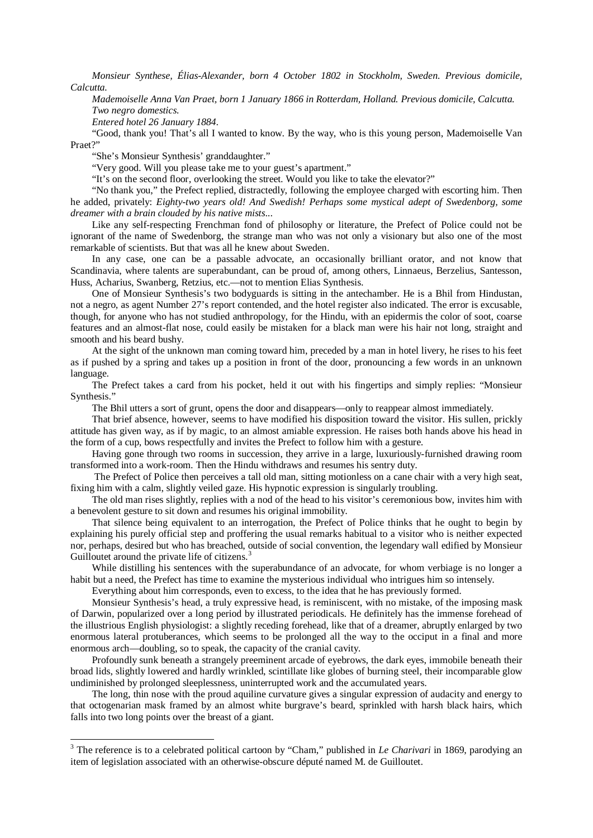*Monsieur Synthese, Élias-Alexander, born 4 October 1802 in Stockholm, Sweden. Previous domicile, Calcutta.*

*Mademoiselle Anna Van Praet, born 1 January 1866 in Rotterdam, Holland. Previous domicile, Calcutta. Two negro domestics.*

*Entered hotel 26 January 1884*.

"Good, thank you! That's all I wanted to know. By the way, who is this young person, Mademoiselle Van Praet?"

"She's Monsieur Synthesis' granddaughter."

"Very good. Will you please take me to your guest's apartment."

"It's on the second floor, overlooking the street. Would you like to take the elevator?"

"No thank you," the Prefect replied, distractedly, following the employee charged with escorting him. Then he added, privately: *Eighty-two years old! And Swedish! Perhaps some mystical adept of Swedenborg, some dreamer with a brain clouded by his native mists*...

Like any self-respecting Frenchman fond of philosophy or literature, the Prefect of Police could not be ignorant of the name of Swedenborg, the strange man who was not only a visionary but also one of the most remarkable of scientists. But that was all he knew about Sweden.

In any case, one can be a passable advocate, an occasionally brilliant orator, and not know that Scandinavia, where talents are superabundant, can be proud of, among others, Linnaeus, Berzelius, Santesson, Huss, Acharius, Swanberg, Retzius, etc.—not to mention Elias Synthesis.

One of Monsieur Synthesis's two bodyguards is sitting in the antechamber. He is a Bhil from Hindustan, not a negro, as agent Number 27's report contended, and the hotel register also indicated. The error is excusable, though, for anyone who has not studied anthropology, for the Hindu, with an epidermis the color of soot, coarse features and an almost-flat nose, could easily be mistaken for a black man were his hair not long, straight and smooth and his beard bushy.

At the sight of the unknown man coming toward him, preceded by a man in hotel livery, he rises to his feet as if pushed by a spring and takes up a position in front of the door, pronouncing a few words in an unknown language.

The Prefect takes a card from his pocket, held it out with his fingertips and simply replies: "Monsieur Synthesis."

The Bhil utters a sort of grunt, opens the door and disappears—only to reappear almost immediately.

That brief absence, however, seems to have modified his disposition toward the visitor. His sullen, prickly attitude has given way, as if by magic, to an almost amiable expression. He raises both hands above his head in the form of a cup, bows respectfully and invites the Prefect to follow him with a gesture.

Having gone through two rooms in succession, they arrive in a large, luxuriously-furnished drawing room transformed into a work-room. Then the Hindu withdraws and resumes his sentry duty.

The Prefect of Police then perceives a tall old man, sitting motionless on a cane chair with a very high seat, fixing him with a calm, slightly veiled gaze. His hypnotic expression is singularly troubling.

The old man rises slightly, replies with a nod of the head to his visitor's ceremonious bow, invites him with a benevolent gesture to sit down and resumes his original immobility.

That silence being equivalent to an interrogation, the Prefect of Police thinks that he ought to begin by explaining his purely official step and proffering the usual remarks habitual to a visitor who is neither expected nor, perhaps, desired but who has breached, outside of social convention, the legendary wall edified by Monsieur Guilloutet around the private life of citizens.<sup>[3](#page-6-0)</sup>

While distilling his sentences with the superabundance of an advocate, for whom verbiage is no longer a habit but a need, the Prefect has time to examine the mysterious individual who intrigues him so intensely.

Everything about him corresponds, even to excess, to the idea that he has previously formed.

Monsieur Synthesis's head, a truly expressive head, is reminiscent, with no mistake, of the imposing mask of Darwin, popularized over a long period by illustrated periodicals. He definitely has the immense forehead of the illustrious English physiologist: a slightly receding forehead, like that of a dreamer, abruptly enlarged by two enormous lateral protuberances, which seems to be prolonged all the way to the occiput in a final and more enormous arch—doubling, so to speak, the capacity of the cranial cavity.

Profoundly sunk beneath a strangely preeminent arcade of eyebrows, the dark eyes, immobile beneath their broad lids, slightly lowered and hardly wrinkled, scintillate like globes of burning steel, their incomparable glow undiminished by prolonged sleeplessness, uninterrupted work and the accumulated years.

The long, thin nose with the proud aquiline curvature gives a singular expression of audacity and energy to that octogenarian mask framed by an almost white burgrave's beard, sprinkled with harsh black hairs, which falls into two long points over the breast of a giant.

<span id="page-6-0"></span><sup>&</sup>lt;sup>3</sup> The reference is to a celebrated political cartoon by "Cham," published in *Le Charivari* in 1869, parodying an item of legislation associated with an otherwise-obscure député named M. de Guilloutet.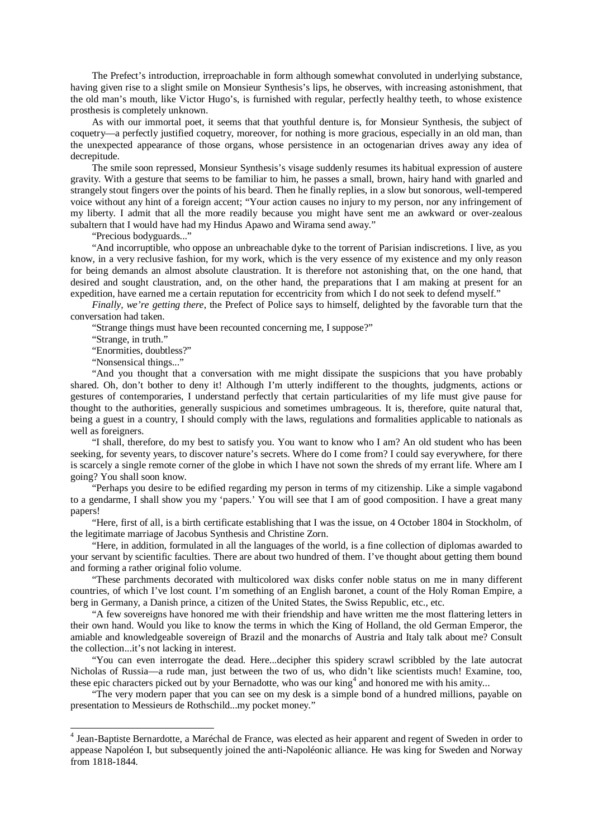The Prefect's introduction, irreproachable in form although somewhat convoluted in underlying substance, having given rise to a slight smile on Monsieur Synthesis's lips, he observes, with increasing astonishment, that the old man's mouth, like Victor Hugo's, is furnished with regular, perfectly healthy teeth, to whose existence prosthesis is completely unknown.

As with our immortal poet, it seems that that youthful denture is, for Monsieur Synthesis, the subject of coquetry—a perfectly justified coquetry, moreover, for nothing is more gracious, especially in an old man, than the unexpected appearance of those organs, whose persistence in an octogenarian drives away any idea of decrepitude.

The smile soon repressed, Monsieur Synthesis's visage suddenly resumes its habitual expression of austere gravity. With a gesture that seems to be familiar to him, he passes a small, brown, hairy hand with gnarled and strangely stout fingers over the points of his beard. Then he finally replies, in a slow but sonorous, well-tempered voice without any hint of a foreign accent; "Your action causes no injury to my person, nor any infringement of my liberty. I admit that all the more readily because you might have sent me an awkward or over-zealous subaltern that I would have had my Hindus Apawo and Wirama send away."

"Precious bodyguards..."

"And incorruptible, who oppose an unbreachable dyke to the torrent of Parisian indiscretions. I live, as you know, in a very reclusive fashion, for my work, which is the very essence of my existence and my only reason for being demands an almost absolute claustration. It is therefore not astonishing that, on the one hand, that desired and sought claustration, and, on the other hand, the preparations that I am making at present for an expedition, have earned me a certain reputation for eccentricity from which I do not seek to defend myself."

*Finally, we're getting there*, the Prefect of Police says to himself, delighted by the favorable turn that the conversation had taken.

"Strange things must have been recounted concerning me, I suppose?"

"Strange, in truth."

"Enormities, doubtless?"

"Nonsensical things..."

"And you thought that a conversation with me might dissipate the suspicions that you have probably shared. Oh, don't bother to deny it! Although I'm utterly indifferent to the thoughts, judgments, actions or gestures of contemporaries, I understand perfectly that certain particularities of my life must give pause for thought to the authorities, generally suspicious and sometimes umbrageous. It is, therefore, quite natural that, being a guest in a country, I should comply with the laws, regulations and formalities applicable to nationals as well as foreigners.

"I shall, therefore, do my best to satisfy you. You want to know who I am? An old student who has been seeking, for seventy years, to discover nature's secrets. Where do I come from? I could say everywhere, for there is scarcely a single remote corner of the globe in which I have not sown the shreds of my errant life. Where am I going? You shall soon know.

"Perhaps you desire to be edified regarding my person in terms of my citizenship. Like a simple vagabond to a gendarme, I shall show you my 'papers.' You will see that I am of good composition. I have a great many papers!

"Here, first of all, is a birth certificate establishing that I was the issue, on 4 October 1804 in Stockholm, of the legitimate marriage of Jacobus Synthesis and Christine Zorn.

"Here, in addition, formulated in all the languages of the world, is a fine collection of diplomas awarded to your servant by scientific faculties. There are about two hundred of them. I've thought about getting them bound and forming a rather original folio volume.

"These parchments decorated with multicolored wax disks confer noble status on me in many different countries, of which I've lost count. I'm something of an English baronet, a count of the Holy Roman Empire, a berg in Germany, a Danish prince, a citizen of the United States, the Swiss Republic, etc., etc.

"A few sovereigns have honored me with their friendship and have written me the most flattering letters in their own hand. Would you like to know the terms in which the King of Holland, the old German Emperor, the amiable and knowledgeable sovereign of Brazil and the monarchs of Austria and Italy talk about me? Consult the collection...it's not lacking in interest.

"You can even interrogate the dead. Here...decipher this spidery scrawl scribbled by the late autocrat Nicholas of Russia—a rude man, just between the two of us, who didn't like scientists much! Examine, too, these epic characters picked out by your Bernadotte, who was our king<sup>[4](#page-7-0)</sup> and honored me with his amity...

"The very modern paper that you can see on my desk is a simple bond of a hundred millions, payable on presentation to Messieurs de Rothschild...my pocket money."

<span id="page-7-0"></span> <sup>4</sup> Jean-Baptiste Bernardotte, a Maréchal de France, was elected as heir apparent and regent of Sweden in order to appease Napoléon I, but subsequently joined the anti-Napoléonic alliance. He was king for Sweden and Norway from 1818-1844.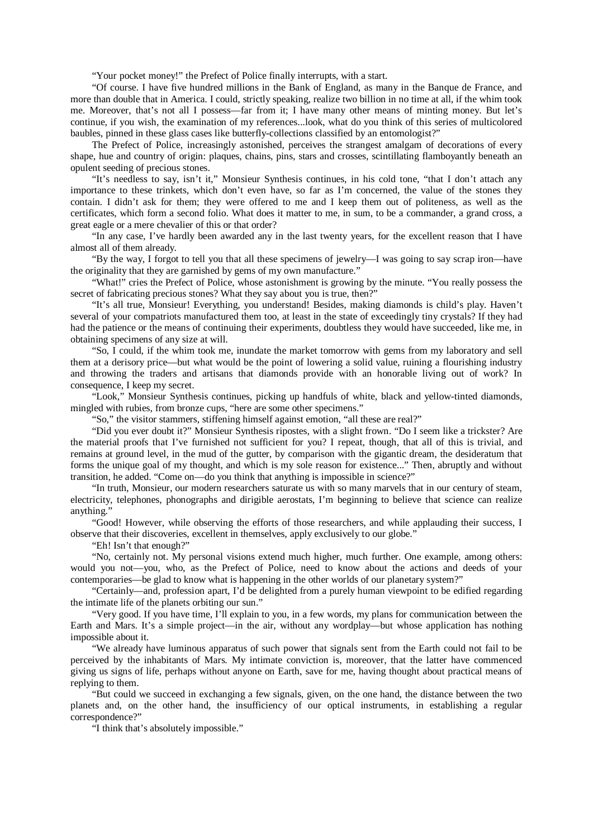"Your pocket money!" the Prefect of Police finally interrupts, with a start.

"Of course. I have five hundred millions in the Bank of England, as many in the Banque de France, and more than double that in America. I could, strictly speaking, realize two billion in no time at all, if the whim took me. Moreover, that's not all I possess—far from it; I have many other means of minting money. But let's continue, if you wish, the examination of my references...look, what do you think of this series of multicolored baubles, pinned in these glass cases like butterfly-collections classified by an entomologist?"

The Prefect of Police, increasingly astonished, perceives the strangest amalgam of decorations of every shape, hue and country of origin: plaques, chains, pins, stars and crosses, scintillating flamboyantly beneath an opulent seeding of precious stones.

"It's needless to say, isn't it," Monsieur Synthesis continues, in his cold tone, "that I don't attach any importance to these trinkets, which don't even have, so far as I'm concerned, the value of the stones they contain. I didn't ask for them; they were offered to me and I keep them out of politeness, as well as the certificates, which form a second folio. What does it matter to me, in sum, to be a commander, a grand cross, a great eagle or a mere chevalier of this or that order?

"In any case, I've hardly been awarded any in the last twenty years, for the excellent reason that I have almost all of them already.

"By the way, I forgot to tell you that all these specimens of jewelry—I was going to say scrap iron—have the originality that they are garnished by gems of my own manufacture."

"What!" cries the Prefect of Police, whose astonishment is growing by the minute. "You really possess the secret of fabricating precious stones? What they say about you is true, then?"

"It's all true, Monsieur! Everything, you understand! Besides, making diamonds is child's play. Haven't several of your compatriots manufactured them too, at least in the state of exceedingly tiny crystals? If they had had the patience or the means of continuing their experiments, doubtless they would have succeeded, like me, in obtaining specimens of any size at will.

"So, I could, if the whim took me, inundate the market tomorrow with gems from my laboratory and sell them at a derisory price—but what would be the point of lowering a solid value, ruining a flourishing industry and throwing the traders and artisans that diamonds provide with an honorable living out of work? In consequence, I keep my secret.

"Look," Monsieur Synthesis continues, picking up handfuls of white, black and yellow-tinted diamonds, mingled with rubies, from bronze cups, "here are some other specimens."

"So," the visitor stammers, stiffening himself against emotion, "all these are real?"

"Did you ever doubt it?" Monsieur Synthesis ripostes, with a slight frown. "Do I seem like a trickster? Are the material proofs that I've furnished not sufficient for you? I repeat, though, that all of this is trivial, and remains at ground level, in the mud of the gutter, by comparison with the gigantic dream, the desideratum that forms the unique goal of my thought, and which is my sole reason for existence..." Then, abruptly and without transition, he added. "Come on—do you think that anything is impossible in science?"

"In truth, Monsieur, our modern researchers saturate us with so many marvels that in our century of steam, electricity, telephones, phonographs and dirigible aerostats, I'm beginning to believe that science can realize anything."

"Good! However, while observing the efforts of those researchers, and while applauding their success, I observe that their discoveries, excellent in themselves, apply exclusively to our globe."

"Eh! Isn't that enough?"

"No, certainly not. My personal visions extend much higher, much further. One example, among others: would you not—you, who, as the Prefect of Police, need to know about the actions and deeds of your contemporaries—be glad to know what is happening in the other worlds of our planetary system?"

"Certainly—and, profession apart, I'd be delighted from a purely human viewpoint to be edified regarding the intimate life of the planets orbiting our sun."

"Very good. If you have time, I'll explain to you, in a few words, my plans for communication between the Earth and Mars. It's a simple project—in the air, without any wordplay—but whose application has nothing impossible about it.

"We already have luminous apparatus of such power that signals sent from the Earth could not fail to be perceived by the inhabitants of Mars. My intimate conviction is, moreover, that the latter have commenced giving us signs of life, perhaps without anyone on Earth, save for me, having thought about practical means of replying to them.

"But could we succeed in exchanging a few signals, given, on the one hand, the distance between the two planets and, on the other hand, the insufficiency of our optical instruments, in establishing a regular correspondence?"

"I think that's absolutely impossible."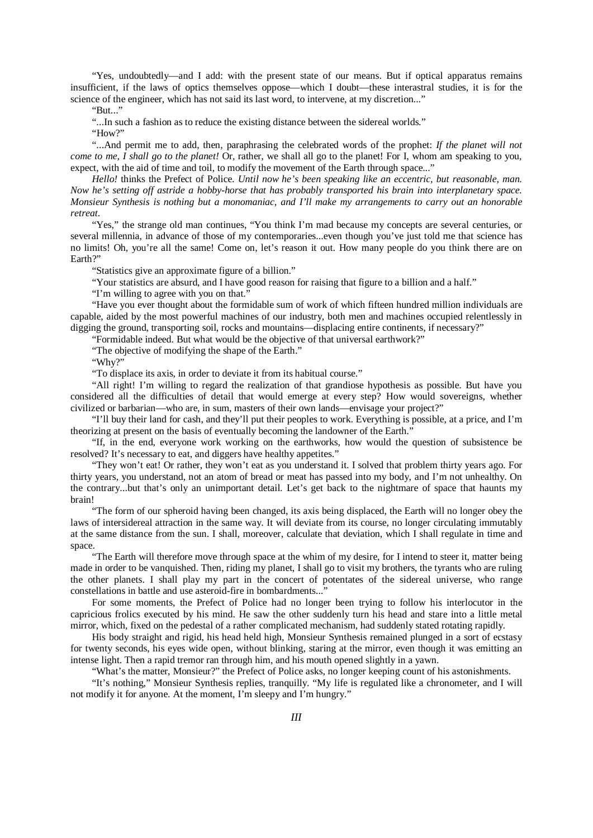"Yes, undoubtedly—and I add: with the present state of our means. But if optical apparatus remains insufficient, if the laws of optics themselves oppose—which I doubt—these interastral studies, it is for the science of the engineer, which has not said its last word, to intervene, at my discretion..."

"But..."

"...In such a fashion as to reduce the existing distance between the sidereal worlds."

"How?"

"...And permit me to add, then, paraphrasing the celebrated words of the prophet: *If the planet will not come to me, I shall go to the planet!* Or, rather, we shall all go to the planet! For I, whom am speaking to you, expect, with the aid of time and toil, to modify the movement of the Earth through space..."

*Hello!* thinks the Prefect of Police. *Until now he's been speaking like an eccentric, but reasonable, man. Now he's setting off astride a hobby-horse that has probably transported his brain into interplanetary space. Monsieur Synthesis is nothing but a monomaniac, and I'll make my arrangements to carry out an honorable retreat*.

"Yes," the strange old man continues, "You think I'm mad because my concepts are several centuries, or several millennia, in advance of those of my contemporaries...even though you've just told me that science has no limits! Oh, you're all the same! Come on, let's reason it out. How many people do you think there are on Earth?"

"Statistics give an approximate figure of a billion."

"Your statistics are absurd, and I have good reason for raising that figure to a billion and a half."

"I'm willing to agree with you on that."

"Have you ever thought about the formidable sum of work of which fifteen hundred million individuals are capable, aided by the most powerful machines of our industry, both men and machines occupied relentlessly in digging the ground, transporting soil, rocks and mountains—displacing entire continents, if necessary?"

"Formidable indeed. But what would be the objective of that universal earthwork?"

"The objective of modifying the shape of the Earth."

"Why?"

"To displace its axis, in order to deviate it from its habitual course."

"All right! I'm willing to regard the realization of that grandiose hypothesis as possible. But have you considered all the difficulties of detail that would emerge at every step? How would sovereigns, whether civilized or barbarian—who are, in sum, masters of their own lands—envisage your project?"

"I'll buy their land for cash, and they'll put their peoples to work. Everything is possible, at a price, and I'm theorizing at present on the basis of eventually becoming the landowner of the Earth."

"If, in the end, everyone work working on the earthworks, how would the question of subsistence be resolved? It's necessary to eat, and diggers have healthy appetites."

"They won't eat! Or rather, they won't eat as you understand it. I solved that problem thirty years ago. For thirty years, you understand, not an atom of bread or meat has passed into my body, and I'm not unhealthy. On the contrary...but that's only an unimportant detail. Let's get back to the nightmare of space that haunts my brain!

"The form of our spheroid having been changed, its axis being displaced, the Earth will no longer obey the laws of intersidereal attraction in the same way. It will deviate from its course, no longer circulating immutably at the same distance from the sun. I shall, moreover, calculate that deviation, which I shall regulate in time and space.

"The Earth will therefore move through space at the whim of my desire, for I intend to steer it, matter being made in order to be vanquished. Then, riding my planet, I shall go to visit my brothers, the tyrants who are ruling the other planets. I shall play my part in the concert of potentates of the sidereal universe, who range constellations in battle and use asteroid-fire in bombardments..."

For some moments, the Prefect of Police had no longer been trying to follow his interlocutor in the capricious frolics executed by his mind. He saw the other suddenly turn his head and stare into a little metal mirror, which, fixed on the pedestal of a rather complicated mechanism, had suddenly stated rotating rapidly.

His body straight and rigid, his head held high, Monsieur Synthesis remained plunged in a sort of ecstasy for twenty seconds, his eyes wide open, without blinking, staring at the mirror, even though it was emitting an intense light. Then a rapid tremor ran through him, and his mouth opened slightly in a yawn.

"What's the matter, Monsieur?" the Prefect of Police asks, no longer keeping count of his astonishments.

"It's nothing," Monsieur Synthesis replies, tranquilly. "My life is regulated like a chronometer, and I will not modify it for anyone. At the moment, I'm sleepy and I'm hungry."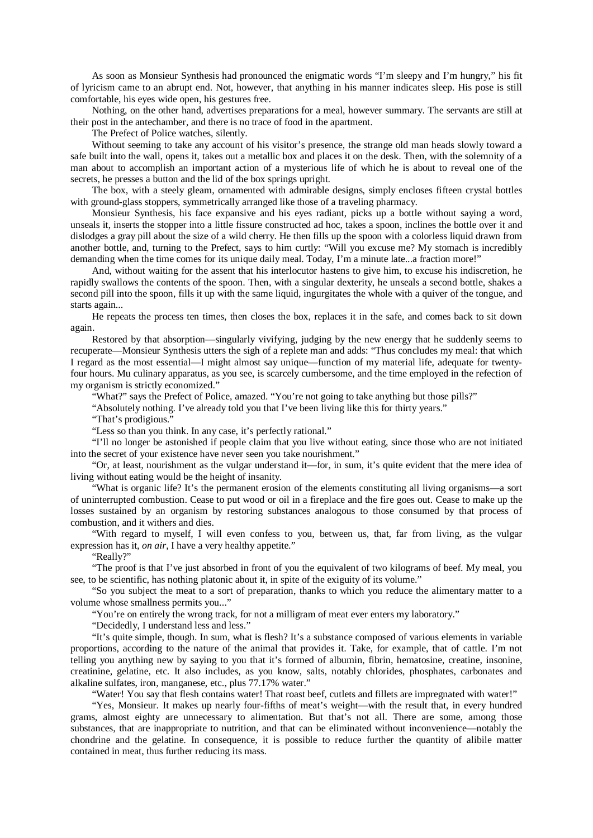As soon as Monsieur Synthesis had pronounced the enigmatic words "I'm sleepy and I'm hungry," his fit of lyricism came to an abrupt end. Not, however, that anything in his manner indicates sleep. His pose is still comfortable, his eyes wide open, his gestures free.

Nothing, on the other hand, advertises preparations for a meal, however summary. The servants are still at their post in the antechamber, and there is no trace of food in the apartment.

The Prefect of Police watches, silently.

Without seeming to take any account of his visitor's presence, the strange old man heads slowly toward a safe built into the wall, opens it, takes out a metallic box and places it on the desk. Then, with the solemnity of a man about to accomplish an important action of a mysterious life of which he is about to reveal one of the secrets, he presses a button and the lid of the box springs upright.

The box, with a steely gleam, ornamented with admirable designs, simply encloses fifteen crystal bottles with ground-glass stoppers, symmetrically arranged like those of a traveling pharmacy.

Monsieur Synthesis, his face expansive and his eyes radiant, picks up a bottle without saying a word, unseals it, inserts the stopper into a little fissure constructed ad hoc, takes a spoon, inclines the bottle over it and dislodges a gray pill about the size of a wild cherry. He then fills up the spoon with a colorless liquid drawn from another bottle, and, turning to the Prefect, says to him curtly: "Will you excuse me? My stomach is incredibly demanding when the time comes for its unique daily meal. Today, I'm a minute late...a fraction more!"

And, without waiting for the assent that his interlocutor hastens to give him, to excuse his indiscretion, he rapidly swallows the contents of the spoon. Then, with a singular dexterity, he unseals a second bottle, shakes a second pill into the spoon, fills it up with the same liquid, ingurgitates the whole with a quiver of the tongue, and starts again...

He repeats the process ten times, then closes the box, replaces it in the safe, and comes back to sit down again.

Restored by that absorption—singularly vivifying, judging by the new energy that he suddenly seems to recuperate—Monsieur Synthesis utters the sigh of a replete man and adds: "Thus concludes my meal: that which I regard as the most essential—I might almost say unique—function of my material life, adequate for twentyfour hours. Mu culinary apparatus, as you see, is scarcely cumbersome, and the time employed in the refection of my organism is strictly economized."

"What?" says the Prefect of Police, amazed. "You're not going to take anything but those pills?"

"Absolutely nothing. I've already told you that I've been living like this for thirty years."

"That's prodigious."

"Less so than you think. In any case, it's perfectly rational."

"I'll no longer be astonished if people claim that you live without eating, since those who are not initiated into the secret of your existence have never seen you take nourishment."

"Or, at least, nourishment as the vulgar understand it—for, in sum, it's quite evident that the mere idea of living without eating would be the height of insanity.

"What is organic life? It's the permanent erosion of the elements constituting all living organisms—a sort of uninterrupted combustion. Cease to put wood or oil in a fireplace and the fire goes out. Cease to make up the losses sustained by an organism by restoring substances analogous to those consumed by that process of combustion, and it withers and dies.

"With regard to myself, I will even confess to you, between us, that, far from living, as the vulgar expression has it, *on air*, I have a very healthy appetite."

"Really?"

"The proof is that I've just absorbed in front of you the equivalent of two kilograms of beef. My meal, you see, to be scientific, has nothing platonic about it, in spite of the exiguity of its volume."

"So you subject the meat to a sort of preparation, thanks to which you reduce the alimentary matter to a volume whose smallness permits you..."

"You're on entirely the wrong track, for not a milligram of meat ever enters my laboratory."

"Decidedly, I understand less and less."

"It's quite simple, though. In sum, what is flesh? It's a substance composed of various elements in variable proportions, according to the nature of the animal that provides it. Take, for example, that of cattle. I'm not telling you anything new by saying to you that it's formed of albumin, fibrin, hematosine, creatine, insonine, creatinine, gelatine, etc. It also includes, as you know, salts, notably chlorides, phosphates, carbonates and alkaline sulfates, iron, manganese, etc., plus 77.17% water."

"Water! You say that flesh contains water! That roast beef, cutlets and fillets are impregnated with water!"

"Yes, Monsieur. It makes up nearly four-fifths of meat's weight—with the result that, in every hundred grams, almost eighty are unnecessary to alimentation. But that's not all. There are some, among those substances, that are inappropriate to nutrition, and that can be eliminated without inconvenience—notably the chondrine and the gelatine. In consequence, it is possible to reduce further the quantity of alibile matter contained in meat, thus further reducing its mass.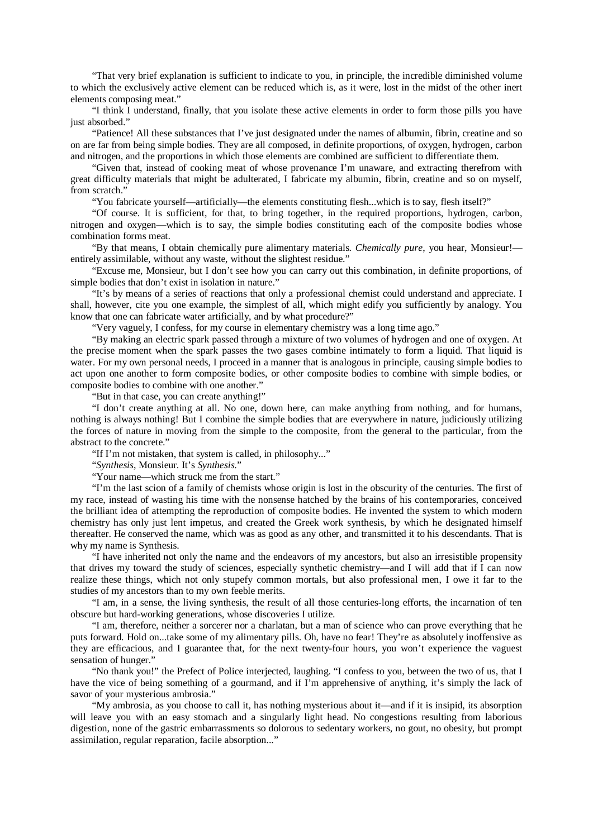"That very brief explanation is sufficient to indicate to you, in principle, the incredible diminished volume to which the exclusively active element can be reduced which is, as it were, lost in the midst of the other inert elements composing meat."

"I think I understand, finally, that you isolate these active elements in order to form those pills you have just absorbed."

"Patience! All these substances that I've just designated under the names of albumin, fibrin, creatine and so on are far from being simple bodies. They are all composed, in definite proportions, of oxygen, hydrogen, carbon and nitrogen, and the proportions in which those elements are combined are sufficient to differentiate them.

"Given that, instead of cooking meat of whose provenance I'm unaware, and extracting therefrom with great difficulty materials that might be adulterated, I fabricate my albumin, fibrin, creatine and so on myself, from scratch."

"You fabricate yourself—artificially—the elements constituting flesh...which is to say, flesh itself?"

"Of course. It is sufficient, for that, to bring together, in the required proportions, hydrogen, carbon, nitrogen and oxygen—which is to say, the simple bodies constituting each of the composite bodies whose combination forms meat.

"By that means, I obtain chemically pure alimentary materials. *Chemically pure*, you hear, Monsieur! entirely assimilable, without any waste, without the slightest residue."

"Excuse me, Monsieur, but I don't see how you can carry out this combination, in definite proportions, of simple bodies that don't exist in isolation in nature."

"It's by means of a series of reactions that only a professional chemist could understand and appreciate. I shall, however, cite you one example, the simplest of all, which might edify you sufficiently by analogy. You know that one can fabricate water artificially, and by what procedure?"

"Very vaguely, I confess, for my course in elementary chemistry was a long time ago."

"By making an electric spark passed through a mixture of two volumes of hydrogen and one of oxygen. At the precise moment when the spark passes the two gases combine intimately to form a liquid. That liquid is water. For my own personal needs, I proceed in a manner that is analogous in principle, causing simple bodies to act upon one another to form composite bodies, or other composite bodies to combine with simple bodies, or composite bodies to combine with one another."

"But in that case, you can create anything!"

"I don't create anything at all. No one, down here, can make anything from nothing, and for humans, nothing is always nothing! But I combine the simple bodies that are everywhere in nature, judiciously utilizing the forces of nature in moving from the simple to the composite, from the general to the particular, from the abstract to the concrete."

"If I'm not mistaken, that system is called, in philosophy..."

"*Synthesis*, Monsieur. It's *Synthesis*."

"Your name—which struck me from the start."

"I'm the last scion of a family of chemists whose origin is lost in the obscurity of the centuries. The first of my race, instead of wasting his time with the nonsense hatched by the brains of his contemporaries, conceived the brilliant idea of attempting the reproduction of composite bodies. He invented the system to which modern chemistry has only just lent impetus, and created the Greek work synthesis, by which he designated himself thereafter. He conserved the name, which was as good as any other, and transmitted it to his descendants. That is why my name is Synthesis.

"I have inherited not only the name and the endeavors of my ancestors, but also an irresistible propensity that drives my toward the study of sciences, especially synthetic chemistry—and I will add that if I can now realize these things, which not only stupefy common mortals, but also professional men, I owe it far to the studies of my ancestors than to my own feeble merits.

"I am, in a sense, the living synthesis, the result of all those centuries-long efforts, the incarnation of ten obscure but hard-working generations, whose discoveries I utilize.

"I am, therefore, neither a sorcerer nor a charlatan, but a man of science who can prove everything that he puts forward. Hold on...take some of my alimentary pills. Oh, have no fear! They're as absolutely inoffensive as they are efficacious, and I guarantee that, for the next twenty-four hours, you won't experience the vaguest sensation of hunger."

"No thank you!" the Prefect of Police interjected, laughing. "I confess to you, between the two of us, that I have the vice of being something of a gourmand, and if I'm apprehensive of anything, it's simply the lack of savor of your mysterious ambrosia."

"My ambrosia, as you choose to call it, has nothing mysterious about it—and if it is insipid, its absorption will leave you with an easy stomach and a singularly light head. No congestions resulting from laborious digestion, none of the gastric embarrassments so dolorous to sedentary workers, no gout, no obesity, but prompt assimilation, regular reparation, facile absorption..."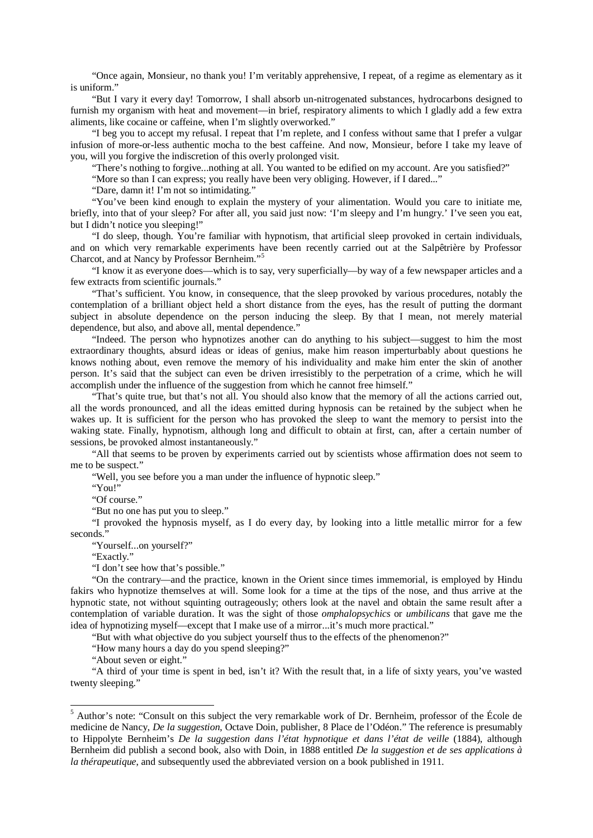"Once again, Monsieur, no thank you! I'm veritably apprehensive, I repeat, of a regime as elementary as it is uniform."

"But I vary it every day! Tomorrow, I shall absorb un-nitrogenated substances, hydrocarbons designed to furnish my organism with heat and movement—in brief, respiratory aliments to which I gladly add a few extra aliments, like cocaine or caffeine, when I'm slightly overworked."

"I beg you to accept my refusal. I repeat that I'm replete, and I confess without same that I prefer a vulgar infusion of more-or-less authentic mocha to the best caffeine. And now, Monsieur, before I take my leave of you, will you forgive the indiscretion of this overly prolonged visit.

"There's nothing to forgive...nothing at all. You wanted to be edified on my account. Are you satisfied?"

"More so than I can express; you really have been very obliging. However, if I dared..."

"Dare, damn it! I'm not so intimidating."

"You've been kind enough to explain the mystery of your alimentation. Would you care to initiate me, briefly, into that of your sleep? For after all, you said just now: 'I'm sleepy and I'm hungry.' I've seen you eat, but I didn't notice you sleeping!"

"I do sleep, though. You're familiar with hypnotism, that artificial sleep provoked in certain individuals, and on which very remarkable experiments have been recently carried out at the Salpêtrière by Professor Charcot, and at Nancy by Professor Bernheim."[5](#page-12-0)

"I know it as everyone does—which is to say, very superficially—by way of a few newspaper articles and a few extracts from scientific journals."

"That's sufficient. You know, in consequence, that the sleep provoked by various procedures, notably the contemplation of a brilliant object held a short distance from the eyes, has the result of putting the dormant subject in absolute dependence on the person inducing the sleep. By that I mean, not merely material dependence, but also, and above all, mental dependence."

"Indeed. The person who hypnotizes another can do anything to his subject—suggest to him the most extraordinary thoughts, absurd ideas or ideas of genius, make him reason imperturbably about questions he knows nothing about, even remove the memory of his individuality and make him enter the skin of another person. It's said that the subject can even be driven irresistibly to the perpetration of a crime, which he will accomplish under the influence of the suggestion from which he cannot free himself."

"That's quite true, but that's not all. You should also know that the memory of all the actions carried out, all the words pronounced, and all the ideas emitted during hypnosis can be retained by the subject when he wakes up. It is sufficient for the person who has provoked the sleep to want the memory to persist into the waking state. Finally, hypnotism, although long and difficult to obtain at first, can, after a certain number of sessions, be provoked almost instantaneously."

"All that seems to be proven by experiments carried out by scientists whose affirmation does not seem to me to be suspect."

"Well, you see before you a man under the influence of hypnotic sleep."

"You!"

"Of course."

"But no one has put you to sleep."

"I provoked the hypnosis myself, as I do every day, by looking into a little metallic mirror for a few seconds."

"Yourself...on yourself?"

"Exactly."

"I don't see how that's possible."

"On the contrary—and the practice, known in the Orient since times immemorial, is employed by Hindu fakirs who hypnotize themselves at will. Some look for a time at the tips of the nose, and thus arrive at the hypnotic state, not without squinting outrageously; others look at the navel and obtain the same result after a contemplation of variable duration. It was the sight of those *omphalopsychics* or *umbilicans* that gave me the idea of hypnotizing myself—except that I make use of a mirror...it's much more practical."

"But with what objective do you subject yourself thus to the effects of the phenomenon?"

"How many hours a day do you spend sleeping?"

"About seven or eight."

"A third of your time is spent in bed, isn't it? With the result that, in a life of sixty years, you've wasted twenty sleeping."

<span id="page-12-0"></span> <sup>5</sup> Author's note: "Consult on this subject the very remarkable work of Dr. Bernheim, professor of the École de medicine de Nancy, *De la suggestion*, Octave Doin, publisher, 8 Place de l'Odéon." The reference is presumably to Hippolyte Bernheim's *De la suggestion dans l'état hypnotique et dans l'état de veille* (1884), although Bernheim did publish a second book, also with Doin, in 1888 entitled *De la suggestion et de ses applications à la thérapeutique*, and subsequently used the abbreviated version on a book published in 1911.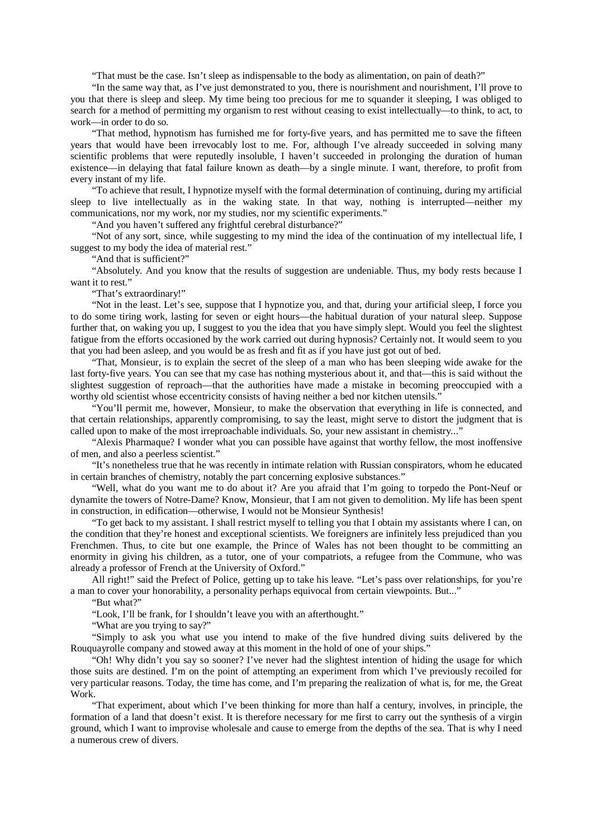"That must be the case. Isn't sleep as indispensable to the body as alimentation, on pain of death?"

"In the same way that, as I've just demonstrated to you, there is nourishment and nourishment, I'll prove to you that there is sleep and sleep. My time being too precious for me to squander it sleeping, I was obliged to search for a method of permitting my organism to rest without ceasing to exist intellectually—to think, to act, to work—in order to do so.

"That method, hypnotism has furnished me for forty-five years, and has permitted me to save the fifteen years that would have been irrevocably lost to me. For, although I've already succeeded in solving many scientific problems that were reputedly insoluble, I haven't succeeded in prolonging the duration of human existence—in delaying that fatal failure known as death—by a single minute. I want, therefore, to profit from every instant of my life.

"To achieve that result, I hypnotize myself with the formal determination of continuing, during my artificial sleep to live intellectually as in the waking state. In that way, nothing is interrupted—neither my communications, nor my work, nor my studies, nor my scientific experiments."

"And you haven't suffered any frightful cerebral disturbance?"

"Not of any sort, since, while suggesting to my mind the idea of the continuation of my intellectual life, I suggest to my body the idea of material rest."

"And that is sufficient?"

"Absolutely. And you know that the results of suggestion are undeniable. Thus, my body rests because I want it to rest."

"That's extraordinary!"

"Not in the least. Let's see, suppose that I hypnotize you, and that, during your artificial sleep, I force you to do some tiring work, lasting for seven or eight hours—the habitual duration of your natural sleep. Suppose further that, on waking you up, I suggest to you the idea that you have simply slept. Would you feel the slightest fatigue from the efforts occasioned by the work carried out during hypnosis? Certainly not. It would seem to you that you had been asleep, and you would be as fresh and fit as if you have just got out of bed.

"That, Monsieur, is to explain the secret of the sleep of a man who has been sleeping wide awake for the last forty-five years. You can see that my case has nothing mysterious about it, and that—this is said without the slightest suggestion of reproach—that the authorities have made a mistake in becoming preoccupied with a worthy old scientist whose eccentricity consists of having neither a bed nor kitchen utensils."

"You'll permit me, however, Monsieur, to make the observation that everything in life is connected, and that certain relationships, apparently compromising, to say the least, might serve to distort the judgment that is called upon to make of the most irreproachable individuals. So, your new assistant in chemistry..."

"Alexis Pharmaque? I wonder what you can possible have against that worthy fellow, the most inoffensive of men, and also a peerless scientist."

"It's nonetheless true that he was recently in intimate relation with Russian conspirators, whom he educated in certain branches of chemistry, notably the part concerning explosive substances."

"Well, what do you want me to do about it? Are you afraid that I'm going to torpedo the Pont-Neuf or dynamite the towers of Notre-Dame? Know, Monsieur, that I am not given to demolition. My life has been spent in construction, in edification—otherwise, I would not be Monsieur Synthesis!

"To get back to my assistant. I shall restrict myself to telling you that I obtain my assistants where I can, on the condition that they're honest and exceptional scientists. We foreigners are infinitely less prejudiced than you Frenchmen. Thus, to cite but one example, the Prince of Wales has not been thought to be committing an enormity in giving his children, as a tutor, one of your compatriots, a refugee from the Commune, who was already a professor of French at the University of Oxford."

All right!" said the Prefect of Police, getting up to take his leave. "Let's pass over relationships, for you're a man to cover your honorability, a personality perhaps equivocal from certain viewpoints. But..."

"But what?"

"Look, I'll be frank, for I shouldn't leave you with an afterthought."

"What are you trying to say?"

"Simply to ask you what use you intend to make of the five hundred diving suits delivered by the Rouquayrolle company and stowed away at this moment in the hold of one of your ships."

"Oh! Why didn't you say so sooner? I've never had the slightest intention of hiding the usage for which those suits are destined. I'm on the point of attempting an experiment from which I've previously recoiled for very particular reasons. Today, the time has come, and I'm preparing the realization of what is, for me, the Great Work.

"That experiment, about which I've been thinking for more than half a century, involves, in principle, the formation of a land that doesn't exist. It is therefore necessary for me first to carry out the synthesis of a virgin ground, which I want to improvise wholesale and cause to emerge from the depths of the sea. That is why I need a numerous crew of divers.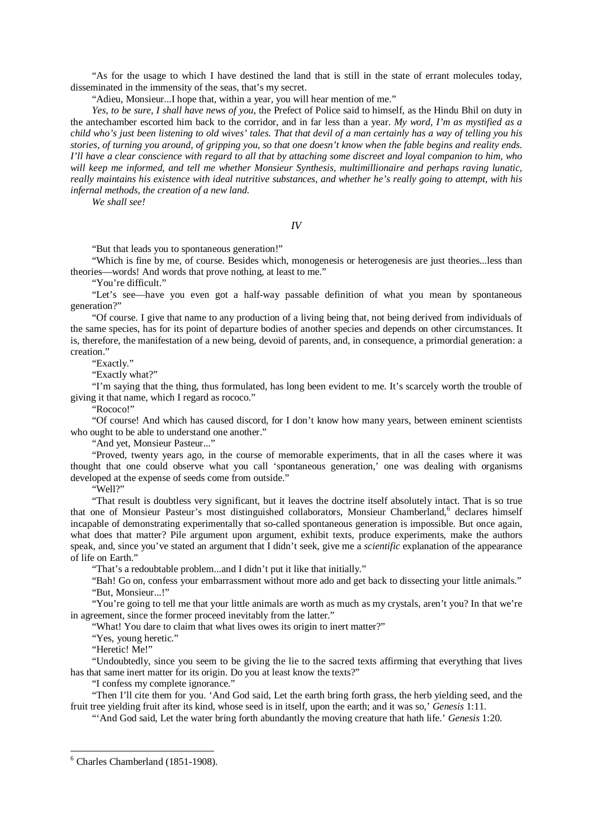"As for the usage to which I have destined the land that is still in the state of errant molecules today, disseminated in the immensity of the seas, that's my secret.

"Adieu, Monsieur...I hope that, within a year, you will hear mention of me."

*Yes, to be sure, I shall have news of you*, the Prefect of Police said to himself, as the Hindu Bhil on duty in the antechamber escorted him back to the corridor, and in far less than a year. *My word, I'm as mystified as a child who's just been listening to old wives' tales. That that devil of a man certainly has a way of telling you his stories, of turning you around, of gripping you, so that one doesn't know when the fable begins and reality ends. I'll have a clear conscience with regard to all that by attaching some discreet and loyal companion to him, who will keep me informed, and tell me whether Monsieur Synthesis, multimillionaire and perhaps raving lunatic, really maintains his existence with ideal nutritive substances, and whether he's really going to attempt, with his infernal methods, the creation of a new land.*

*We shall see!*

*IV*

"But that leads you to spontaneous generation!"

"Which is fine by me, of course. Besides which, monogenesis or heterogenesis are just theories...less than theories—words! And words that prove nothing, at least to me."

"You're difficult."

"Let's see—have you even got a half-way passable definition of what you mean by spontaneous generation?"

"Of course. I give that name to any production of a living being that, not being derived from individuals of the same species, has for its point of departure bodies of another species and depends on other circumstances. It is, therefore, the manifestation of a new being, devoid of parents, and, in consequence, a primordial generation: a creation."

"Exactly."

"Exactly what?"

"I'm saying that the thing, thus formulated, has long been evident to me. It's scarcely worth the trouble of giving it that name, which I regard as rococo."

"Rococo!"

"Of course! And which has caused discord, for I don't know how many years, between eminent scientists who ought to be able to understand one another."

"And yet, Monsieur Pasteur..."

"Proved, twenty years ago, in the course of memorable experiments, that in all the cases where it was thought that one could observe what you call 'spontaneous generation,' one was dealing with organisms developed at the expense of seeds come from outside."

"Well?"

"That result is doubtless very significant, but it leaves the doctrine itself absolutely intact. That is so true that one of Monsieur Pasteur's most distinguished collaborators, Monsieur Chamberland,<sup>[6](#page-14-0)</sup> declares himself incapable of demonstrating experimentally that so-called spontaneous generation is impossible. But once again, what does that matter? Pile argument upon argument, exhibit texts, produce experiments, make the authors speak, and, since you've stated an argument that I didn't seek, give me a *scientific* explanation of the appearance of life on Earth."

"That's a redoubtable problem...and I didn't put it like that initially."

"Bah! Go on, confess your embarrassment without more ado and get back to dissecting your little animals." "But, Monsieur...!"

"You're going to tell me that your little animals are worth as much as my crystals, aren't you? In that we're in agreement, since the former proceed inevitably from the latter."

"What! You dare to claim that what lives owes its origin to inert matter?"

"Yes, young heretic."

"Heretic! Me!"

"Undoubtedly, since you seem to be giving the lie to the sacred texts affirming that everything that lives has that same inert matter for its origin. Do you at least know the texts?"

"I confess my complete ignorance."

"Then I'll cite them for you. 'And God said, Let the earth bring forth grass, the herb yielding seed, and the fruit tree yielding fruit after its kind, whose seed is in itself, upon the earth; and it was so,' *Genesis* 1:11.

"'And God said, Let the water bring forth abundantly the moving creature that hath life.' *Genesis* 1:20.

<span id="page-14-0"></span> <sup>6</sup> Charles Chamberland (1851-1908).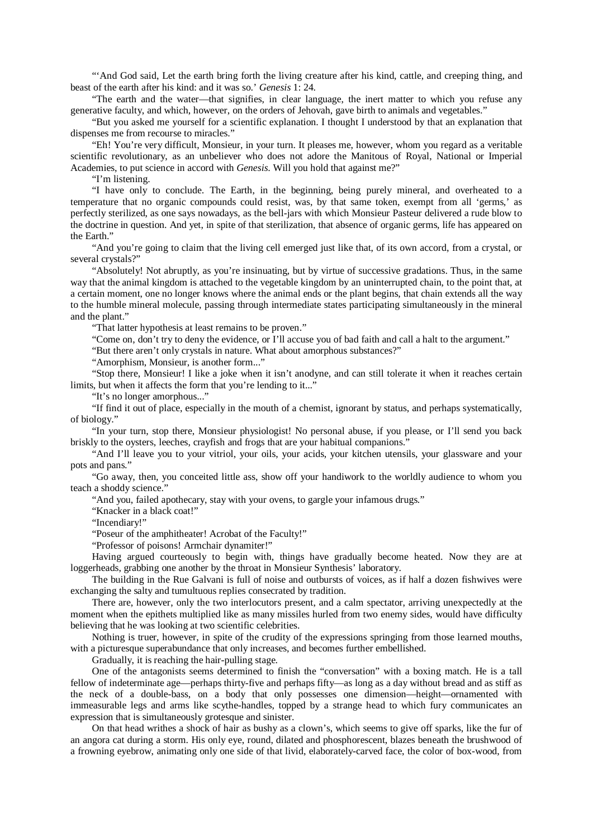"'And God said, Let the earth bring forth the living creature after his kind, cattle, and creeping thing, and beast of the earth after his kind: and it was so.' *Genesis* 1: 24.

"The earth and the water—that signifies, in clear language, the inert matter to which you refuse any generative faculty, and which, however, on the orders of Jehovah, gave birth to animals and vegetables."

"But you asked me yourself for a scientific explanation. I thought I understood by that an explanation that dispenses me from recourse to miracles."

"Eh! You're very difficult, Monsieur, in your turn. It pleases me, however, whom you regard as a veritable scientific revolutionary, as an unbeliever who does not adore the Manitous of Royal, National or Imperial Academies, to put science in accord with *Genesis*. Will you hold that against me?"

"I'm listening.

"I have only to conclude. The Earth, in the beginning, being purely mineral, and overheated to a temperature that no organic compounds could resist, was, by that same token, exempt from all 'germs,' as perfectly sterilized, as one says nowadays, as the bell-jars with which Monsieur Pasteur delivered a rude blow to the doctrine in question. And yet, in spite of that sterilization, that absence of organic germs, life has appeared on the Earth."

"And you're going to claim that the living cell emerged just like that, of its own accord, from a crystal, or several crystals?"

"Absolutely! Not abruptly, as you're insinuating, but by virtue of successive gradations. Thus, in the same way that the animal kingdom is attached to the vegetable kingdom by an uninterrupted chain, to the point that, at a certain moment, one no longer knows where the animal ends or the plant begins, that chain extends all the way to the humble mineral molecule, passing through intermediate states participating simultaneously in the mineral and the plant."

"That latter hypothesis at least remains to be proven."

"Come on, don't try to deny the evidence, or I'll accuse you of bad faith and call a halt to the argument."

"But there aren't only crystals in nature. What about amorphous substances?"

"Amorphism, Monsieur, is another form..."

"Stop there, Monsieur! I like a joke when it isn't anodyne, and can still tolerate it when it reaches certain limits, but when it affects the form that you're lending to it..."

"It's no longer amorphous..."

"If find it out of place, especially in the mouth of a chemist, ignorant by status, and perhaps systematically, of biology."

"In your turn, stop there, Monsieur physiologist! No personal abuse, if you please, or I'll send you back briskly to the oysters, leeches, crayfish and frogs that are your habitual companions."

"And I'll leave you to your vitriol, your oils, your acids, your kitchen utensils, your glassware and your pots and pans."

"Go away, then, you conceited little ass, show off your handiwork to the worldly audience to whom you teach a shoddy science."

"And you, failed apothecary, stay with your ovens, to gargle your infamous drugs."

"Knacker in a black coat!"

"Incendiary!"

"Poseur of the amphitheater! Acrobat of the Faculty!"

"Professor of poisons! Armchair dynamiter!"

Having argued courteously to begin with, things have gradually become heated. Now they are at loggerheads, grabbing one another by the throat in Monsieur Synthesis' laboratory.

The building in the Rue Galvani is full of noise and outbursts of voices, as if half a dozen fishwives were exchanging the salty and tumultuous replies consecrated by tradition.

There are, however, only the two interlocutors present, and a calm spectator, arriving unexpectedly at the moment when the epithets multiplied like as many missiles hurled from two enemy sides, would have difficulty believing that he was looking at two scientific celebrities.

Nothing is truer, however, in spite of the crudity of the expressions springing from those learned mouths, with a picturesque superabundance that only increases, and becomes further embellished.

Gradually, it is reaching the hair-pulling stage.

One of the antagonists seems determined to finish the "conversation" with a boxing match. He is a tall fellow of indeterminate age—perhaps thirty-five and perhaps fifty—as long as a day without bread and as stiff as the neck of a double-bass, on a body that only possesses one dimension—height—ornamented with immeasurable legs and arms like scythe-handles, topped by a strange head to which fury communicates an expression that is simultaneously grotesque and sinister.

On that head writhes a shock of hair as bushy as a clown's, which seems to give off sparks, like the fur of an angora cat during a storm. His only eye, round, dilated and phosphorescent, blazes beneath the brushwood of a frowning eyebrow, animating only one side of that livid, elaborately-carved face, the color of box-wood, from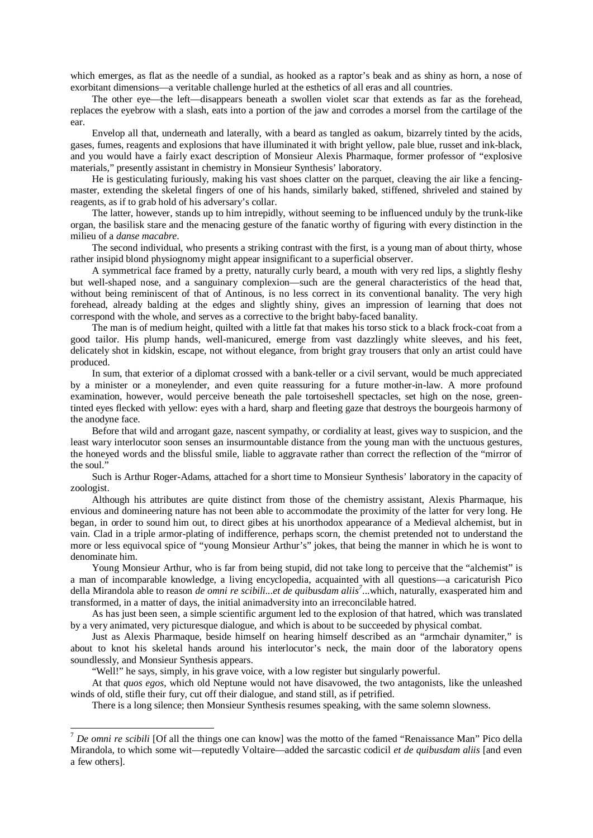which emerges, as flat as the needle of a sundial, as hooked as a raptor's beak and as shiny as horn, a nose of exorbitant dimensions—a veritable challenge hurled at the esthetics of all eras and all countries.

The other eye—the left—disappears beneath a swollen violet scar that extends as far as the forehead, replaces the eyebrow with a slash, eats into a portion of the jaw and corrodes a morsel from the cartilage of the ear.

Envelop all that, underneath and laterally, with a beard as tangled as oakum, bizarrely tinted by the acids, gases, fumes, reagents and explosions that have illuminated it with bright yellow, pale blue, russet and ink-black, and you would have a fairly exact description of Monsieur Alexis Pharmaque, former professor of "explosive materials," presently assistant in chemistry in Monsieur Synthesis' laboratory.

He is gesticulating furiously, making his vast shoes clatter on the parquet, cleaving the air like a fencingmaster, extending the skeletal fingers of one of his hands, similarly baked, stiffened, shriveled and stained by reagents, as if to grab hold of his adversary's collar.

The latter, however, stands up to him intrepidly, without seeming to be influenced unduly by the trunk-like organ, the basilisk stare and the menacing gesture of the fanatic worthy of figuring with every distinction in the milieu of a *danse macabre*.

The second individual, who presents a striking contrast with the first, is a young man of about thirty, whose rather insipid blond physiognomy might appear insignificant to a superficial observer.

A symmetrical face framed by a pretty, naturally curly beard, a mouth with very red lips, a slightly fleshy but well-shaped nose, and a sanguinary complexion—such are the general characteristics of the head that, without being reminiscent of that of Antinous, is no less correct in its conventional banality. The very high forehead, already balding at the edges and slightly shiny, gives an impression of learning that does not correspond with the whole, and serves as a corrective to the bright baby-faced banality.

The man is of medium height, quilted with a little fat that makes his torso stick to a black frock-coat from a good tailor. His plump hands, well-manicured, emerge from vast dazzlingly white sleeves, and his feet, delicately shot in kidskin, escape, not without elegance, from bright gray trousers that only an artist could have produced.

In sum, that exterior of a diplomat crossed with a bank-teller or a civil servant, would be much appreciated by a minister or a moneylender, and even quite reassuring for a future mother-in-law. A more profound examination, however, would perceive beneath the pale tortoiseshell spectacles, set high on the nose, greentinted eyes flecked with yellow: eyes with a hard, sharp and fleeting gaze that destroys the bourgeois harmony of the anodyne face.

Before that wild and arrogant gaze, nascent sympathy, or cordiality at least, gives way to suspicion, and the least wary interlocutor soon senses an insurmountable distance from the young man with the unctuous gestures, the honeyed words and the blissful smile, liable to aggravate rather than correct the reflection of the "mirror of the soul."

Such is Arthur Roger-Adams, attached for a short time to Monsieur Synthesis' laboratory in the capacity of zoologist.

Although his attributes are quite distinct from those of the chemistry assistant, Alexis Pharmaque, his envious and domineering nature has not been able to accommodate the proximity of the latter for very long. He began, in order to sound him out, to direct gibes at his unorthodox appearance of a Medieval alchemist, but in vain. Clad in a triple armor-plating of indifference, perhaps scorn, the chemist pretended not to understand the more or less equivocal spice of "young Monsieur Arthur's" jokes, that being the manner in which he is wont to denominate him.

Young Monsieur Arthur, who is far from being stupid, did not take long to perceive that the "alchemist" is a man of incomparable knowledge, a living encyclopedia, acquainted with all questions—a caricaturish Pico della Mirandola able to reason *de omni re scibili...et de quibusdam aliis[7](#page-16-0)* ...which, naturally, exasperated him and transformed, in a matter of days, the initial animadversity into an irreconcilable hatred.

As has just been seen, a simple scientific argument led to the explosion of that hatred, which was translated by a very animated, very picturesque dialogue, and which is about to be succeeded by physical combat.

Just as Alexis Pharmaque, beside himself on hearing himself described as an "armchair dynamiter," is about to knot his skeletal hands around his interlocutor's neck, the main door of the laboratory opens soundlessly, and Monsieur Synthesis appears.

"Well!" he says, simply, in his grave voice, with a low register but singularly powerful.

At that *quos egos*, which old Neptune would not have disavowed, the two antagonists, like the unleashed winds of old, stifle their fury, cut off their dialogue, and stand still, as if petrified.

There is a long silence; then Monsieur Synthesis resumes speaking, with the same solemn slowness.

<span id="page-16-0"></span> <sup>7</sup> *De omni re scibili* [Of all the things one can know] was the motto of the famed "Renaissance Man" Pico della Mirandola, to which some wit—reputedly Voltaire—added the sarcastic codicil *et de quibusdam aliis* [and even a few others].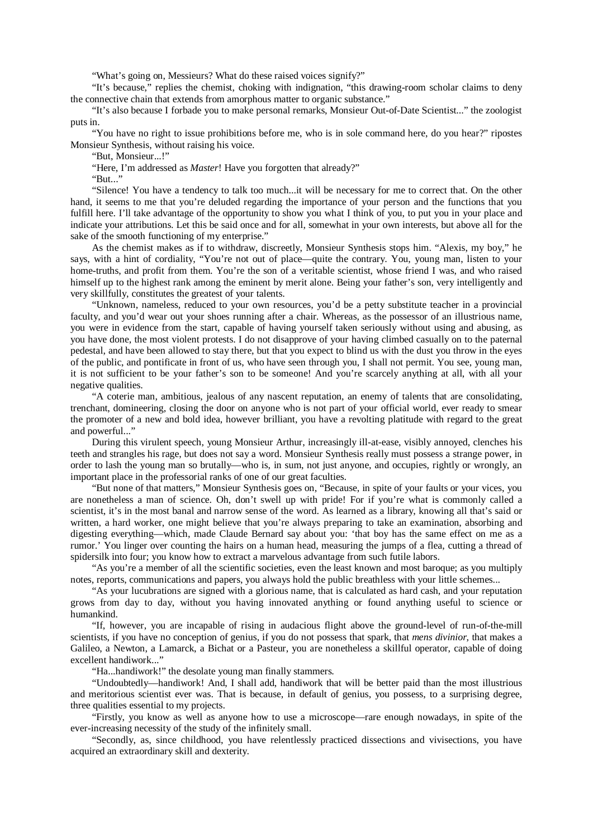"What's going on, Messieurs? What do these raised voices signify?"

"It's because," replies the chemist, choking with indignation, "this drawing-room scholar claims to deny the connective chain that extends from amorphous matter to organic substance."

"It's also because I forbade you to make personal remarks, Monsieur Out-of-Date Scientist..." the zoologist puts in.

"You have no right to issue prohibitions before me, who is in sole command here, do you hear?" ripostes Monsieur Synthesis, without raising his voice.

"But, Monsieur...!"

"Here, I'm addressed as *Master*! Have you forgotten that already?"

"But..."

"Silence! You have a tendency to talk too much...it will be necessary for me to correct that. On the other hand, it seems to me that you're deluded regarding the importance of your person and the functions that you fulfill here. I'll take advantage of the opportunity to show you what I think of you, to put you in your place and indicate your attributions. Let this be said once and for all, somewhat in your own interests, but above all for the sake of the smooth functioning of my enterprise."

As the chemist makes as if to withdraw, discreetly, Monsieur Synthesis stops him. "Alexis, my boy," he says, with a hint of cordiality, "You're not out of place—quite the contrary. You, young man, listen to your home-truths, and profit from them. You're the son of a veritable scientist, whose friend I was, and who raised himself up to the highest rank among the eminent by merit alone. Being your father's son, very intelligently and very skillfully, constitutes the greatest of your talents.

"Unknown, nameless, reduced to your own resources, you'd be a petty substitute teacher in a provincial faculty, and you'd wear out your shoes running after a chair. Whereas, as the possessor of an illustrious name, you were in evidence from the start, capable of having yourself taken seriously without using and abusing, as you have done, the most violent protests. I do not disapprove of your having climbed casually on to the paternal pedestal, and have been allowed to stay there, but that you expect to blind us with the dust you throw in the eyes of the public, and pontificate in front of us, who have seen through you, I shall not permit. You see, young man, it is not sufficient to be your father's son to be someone! And you're scarcely anything at all, with all your negative qualities.

"A coterie man, ambitious, jealous of any nascent reputation, an enemy of talents that are consolidating, trenchant, domineering, closing the door on anyone who is not part of your official world, ever ready to smear the promoter of a new and bold idea, however brilliant, you have a revolting platitude with regard to the great and powerful..."

During this virulent speech, young Monsieur Arthur, increasingly ill-at-ease, visibly annoyed, clenches his teeth and strangles his rage, but does not say a word. Monsieur Synthesis really must possess a strange power, in order to lash the young man so brutally—who is, in sum, not just anyone, and occupies, rightly or wrongly, an important place in the professorial ranks of one of our great faculties.

"But none of that matters," Monsieur Synthesis goes on, "Because, in spite of your faults or your vices, you are nonetheless a man of science. Oh, don't swell up with pride! For if you're what is commonly called a scientist, it's in the most banal and narrow sense of the word. As learned as a library, knowing all that's said or written, a hard worker, one might believe that you're always preparing to take an examination, absorbing and digesting everything—which, made Claude Bernard say about you: 'that boy has the same effect on me as a rumor.' You linger over counting the hairs on a human head, measuring the jumps of a flea, cutting a thread of spidersilk into four; you know how to extract a marvelous advantage from such futile labors.

"As you're a member of all the scientific societies, even the least known and most baroque; as you multiply notes, reports, communications and papers, you always hold the public breathless with your little schemes...

"As your lucubrations are signed with a glorious name, that is calculated as hard cash, and your reputation grows from day to day, without you having innovated anything or found anything useful to science or humankind.

"If, however, you are incapable of rising in audacious flight above the ground-level of run-of-the-mill scientists, if you have no conception of genius, if you do not possess that spark, that *mens divinior*, that makes a Galileo, a Newton, a Lamarck, a Bichat or a Pasteur, you are nonetheless a skillful operator, capable of doing excellent handiwork..."

"Ha...handiwork!" the desolate young man finally stammers.

"Undoubtedly—handiwork! And, I shall add, handiwork that will be better paid than the most illustrious and meritorious scientist ever was. That is because, in default of genius, you possess, to a surprising degree, three qualities essential to my projects.

"Firstly, you know as well as anyone how to use a microscope—rare enough nowadays, in spite of the ever-increasing necessity of the study of the infinitely small.

"Secondly, as, since childhood, you have relentlessly practiced dissections and vivisections, you have acquired an extraordinary skill and dexterity.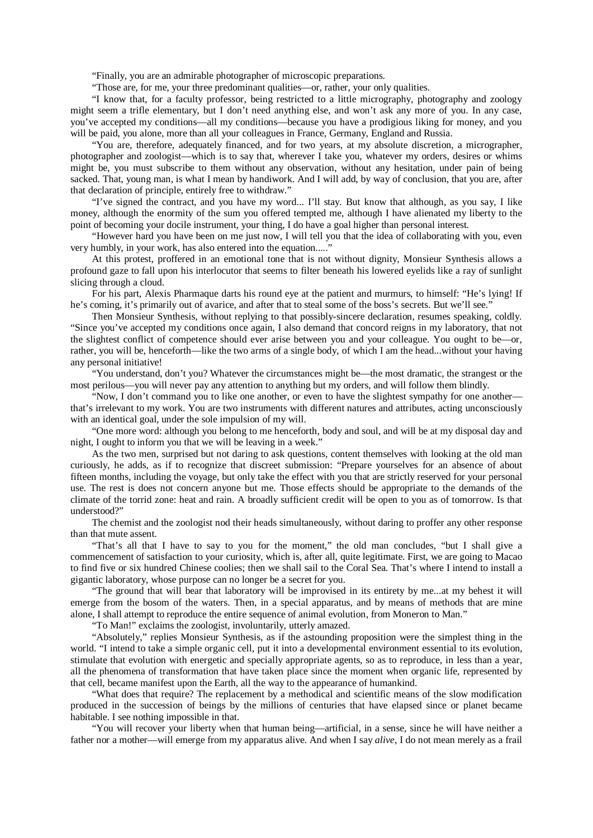"Finally, you are an admirable photographer of microscopic preparations.

"Those are, for me, your three predominant qualities—or, rather, your only qualities.

"I know that, for a faculty professor, being restricted to a little micrography, photography and zoology might seem a trifle elementary, but I don't need anything else, and won't ask any more of you. In any case, you've accepted my conditions—all my conditions—because you have a prodigious liking for money, and you will be paid, you alone, more than all your colleagues in France, Germany, England and Russia.

"You are, therefore, adequately financed, and for two years, at my absolute discretion, a micrographer, photographer and zoologist—which is to say that, wherever I take you, whatever my orders, desires or whims might be, you must subscribe to them without any observation, without any hesitation, under pain of being sacked. That, young man, is what I mean by handiwork. And I will add, by way of conclusion, that you are, after that declaration of principle, entirely free to withdraw."

"I've signed the contract, and you have my word... I'll stay. But know that although, as you say, I like money, although the enormity of the sum you offered tempted me, although I have alienated my liberty to the point of becoming your docile instrument, your thing, I do have a goal higher than personal interest.

"However hard you have been on me just now, I will tell you that the idea of collaborating with you, even very humbly, in your work, has also entered into the equation....."

At this protest, proffered in an emotional tone that is not without dignity, Monsieur Synthesis allows a profound gaze to fall upon his interlocutor that seems to filter beneath his lowered eyelids like a ray of sunlight slicing through a cloud.

For his part, Alexis Pharmaque darts his round eye at the patient and murmurs, to himself: "He's lying! If he's coming, it's primarily out of avarice, and after that to steal some of the boss's secrets. But we'll see."

Then Monsieur Synthesis, without replying to that possibly-sincere declaration, resumes speaking, coldly. "Since you've accepted my conditions once again, I also demand that concord reigns in my laboratory, that not the slightest conflict of competence should ever arise between you and your colleague. You ought to be—or, rather, you will be, henceforth—like the two arms of a single body, of which I am the head...without your having any personal initiative!

"You understand, don't you? Whatever the circumstances might be—the most dramatic, the strangest or the most perilous—you will never pay any attention to anything but my orders, and will follow them blindly.

"Now, I don't command you to like one another, or even to have the slightest sympathy for one another that's irrelevant to my work. You are two instruments with different natures and attributes, acting unconsciously with an identical goal, under the sole impulsion of my will.

"One more word: although you belong to me henceforth, body and soul, and will be at my disposal day and night, I ought to inform you that we will be leaving in a week."

As the two men, surprised but not daring to ask questions, content themselves with looking at the old man curiously, he adds, as if to recognize that discreet submission: "Prepare yourselves for an absence of about fifteen months, including the voyage, but only take the effect with you that are strictly reserved for your personal use. The rest is does not concern anyone but me. Those effects should be appropriate to the demands of the climate of the torrid zone: heat and rain. A broadly sufficient credit will be open to you as of tomorrow. Is that understood?"

The chemist and the zoologist nod their heads simultaneously, without daring to proffer any other response than that mute assent.

"That's all that I have to say to you for the moment," the old man concludes, "but I shall give a commencement of satisfaction to your curiosity, which is, after all, quite legitimate. First, we are going to Macao to find five or six hundred Chinese coolies; then we shall sail to the Coral Sea. That's where I intend to install a gigantic laboratory, whose purpose can no longer be a secret for you.

"The ground that will bear that laboratory will be improvised in its entirety by me...at my behest it will emerge from the bosom of the waters. Then, in a special apparatus, and by means of methods that are mine alone, I shall attempt to reproduce the entire sequence of animal evolution, from Moneron to Man."

"To Man!" exclaims the zoologist, involuntarily, utterly amazed.

"Absolutely," replies Monsieur Synthesis, as if the astounding proposition were the simplest thing in the world. "I intend to take a simple organic cell, put it into a developmental environment essential to its evolution, stimulate that evolution with energetic and specially appropriate agents, so as to reproduce, in less than a year, all the phenomena of transformation that have taken place since the moment when organic life, represented by that cell, became manifest upon the Earth, all the way to the appearance of humankind.

"What does that require? The replacement by a methodical and scientific means of the slow modification produced in the succession of beings by the millions of centuries that have elapsed since or planet became habitable. I see nothing impossible in that.

"You will recover your liberty when that human being—artificial, in a sense, since he will have neither a father nor a mother—will emerge from my apparatus alive. And when I say *alive*, I do not mean merely as a frail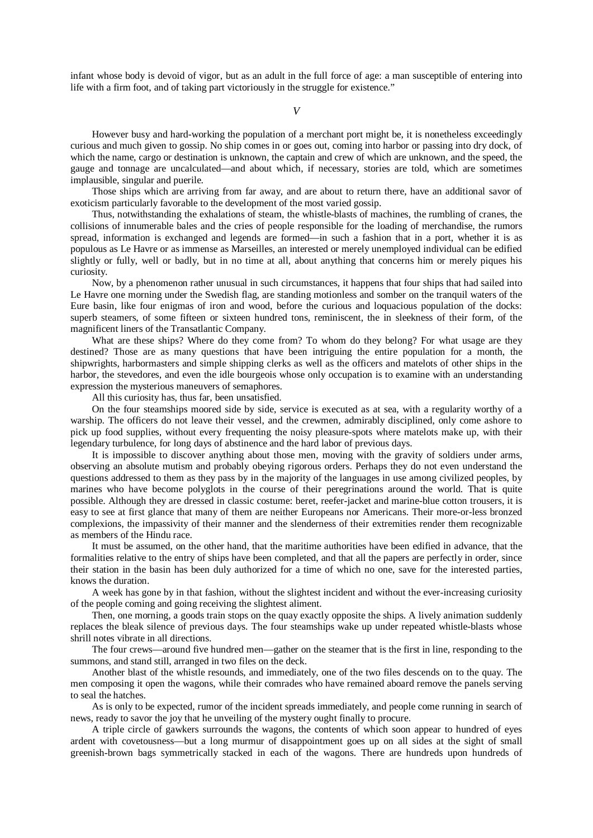infant whose body is devoid of vigor, but as an adult in the full force of age: a man susceptible of entering into life with a firm foot, and of taking part victoriously in the struggle for existence."

However busy and hard-working the population of a merchant port might be, it is nonetheless exceedingly curious and much given to gossip. No ship comes in or goes out, coming into harbor or passing into dry dock, of which the name, cargo or destination is unknown, the captain and crew of which are unknown, and the speed, the gauge and tonnage are uncalculated—and about which, if necessary, stories are told, which are sometimes implausible, singular and puerile.

Those ships which are arriving from far away, and are about to return there, have an additional savor of exoticism particularly favorable to the development of the most varied gossip.

Thus, notwithstanding the exhalations of steam, the whistle-blasts of machines, the rumbling of cranes, the collisions of innumerable bales and the cries of people responsible for the loading of merchandise, the rumors spread, information is exchanged and legends are formed—in such a fashion that in a port, whether it is as populous as Le Havre or as immense as Marseilles, an interested or merely unemployed individual can be edified slightly or fully, well or badly, but in no time at all, about anything that concerns him or merely piques his curiosity.

Now, by a phenomenon rather unusual in such circumstances, it happens that four ships that had sailed into Le Havre one morning under the Swedish flag, are standing motionless and somber on the tranquil waters of the Eure basin, like four enigmas of iron and wood, before the curious and loquacious population of the docks: superb steamers, of some fifteen or sixteen hundred tons, reminiscent, the in sleekness of their form, of the magnificent liners of the Transatlantic Company.

What are these ships? Where do they come from? To whom do they belong? For what usage are they destined? Those are as many questions that have been intriguing the entire population for a month, the shipwrights, harbormasters and simple shipping clerks as well as the officers and matelots of other ships in the harbor, the stevedores, and even the idle bourgeois whose only occupation is to examine with an understanding expression the mysterious maneuvers of semaphores.

All this curiosity has, thus far, been unsatisfied.

On the four steamships moored side by side, service is executed as at sea, with a regularity worthy of a warship. The officers do not leave their vessel, and the crewmen, admirably disciplined, only come ashore to pick up food supplies, without every frequenting the noisy pleasure-spots where matelots make up, with their legendary turbulence, for long days of abstinence and the hard labor of previous days.

It is impossible to discover anything about those men, moving with the gravity of soldiers under arms, observing an absolute mutism and probably obeying rigorous orders. Perhaps they do not even understand the questions addressed to them as they pass by in the majority of the languages in use among civilized peoples, by marines who have become polyglots in the course of their peregrinations around the world. That is quite possible. Although they are dressed in classic costume: beret, reefer-jacket and marine-blue cotton trousers, it is easy to see at first glance that many of them are neither Europeans nor Americans. Their more-or-less bronzed complexions, the impassivity of their manner and the slenderness of their extremities render them recognizable as members of the Hindu race.

It must be assumed, on the other hand, that the maritime authorities have been edified in advance, that the formalities relative to the entry of ships have been completed, and that all the papers are perfectly in order, since their station in the basin has been duly authorized for a time of which no one, save for the interested parties, knows the duration.

A week has gone by in that fashion, without the slightest incident and without the ever-increasing curiosity of the people coming and going receiving the slightest aliment.

Then, one morning, a goods train stops on the quay exactly opposite the ships. A lively animation suddenly replaces the bleak silence of previous days. The four steamships wake up under repeated whistle-blasts whose shrill notes vibrate in all directions.

The four crews—around five hundred men—gather on the steamer that is the first in line, responding to the summons, and stand still, arranged in two files on the deck.

Another blast of the whistle resounds, and immediately, one of the two files descends on to the quay. The men composing it open the wagons, while their comrades who have remained aboard remove the panels serving to seal the hatches.

As is only to be expected, rumor of the incident spreads immediately, and people come running in search of news, ready to savor the joy that he unveiling of the mystery ought finally to procure.

A triple circle of gawkers surrounds the wagons, the contents of which soon appear to hundred of eyes ardent with covetousness—but a long murmur of disappointment goes up on all sides at the sight of small greenish-brown bags symmetrically stacked in each of the wagons. There are hundreds upon hundreds of

*V*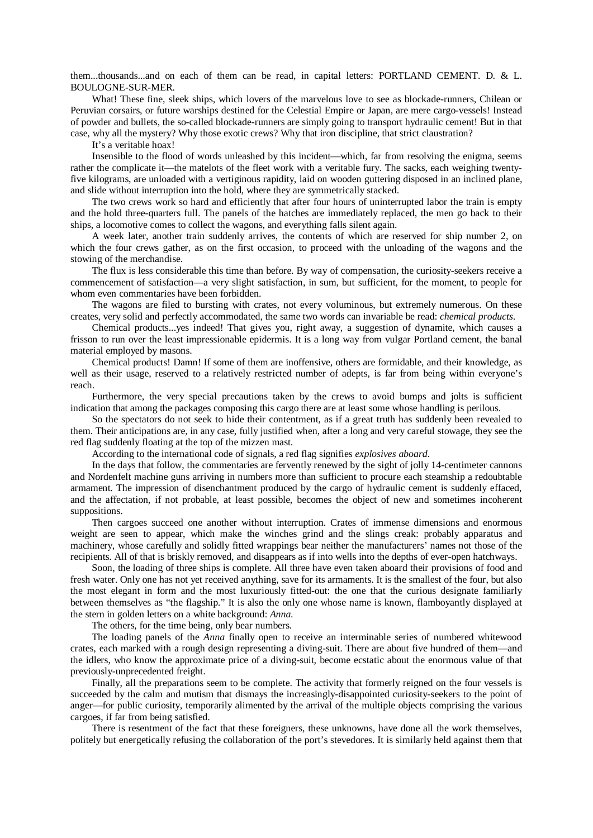them...thousands...and on each of them can be read, in capital letters: PORTLAND CEMENT. D. & L. BOULOGNE-SUR-MER.

What! These fine, sleek ships, which lovers of the marvelous love to see as blockade-runners, Chilean or Peruvian corsairs, or future warships destined for the Celestial Empire or Japan, are mere cargo-vessels! Instead of powder and bullets, the so-called blockade-runners are simply going to transport hydraulic cement! But in that case, why all the mystery? Why those exotic crews? Why that iron discipline, that strict claustration?

It's a veritable hoax!

Insensible to the flood of words unleashed by this incident—which, far from resolving the enigma, seems rather the complicate it—the matelots of the fleet work with a veritable fury. The sacks, each weighing twentyfive kilograms, are unloaded with a vertiginous rapidity, laid on wooden guttering disposed in an inclined plane, and slide without interruption into the hold, where they are symmetrically stacked.

The two crews work so hard and efficiently that after four hours of uninterrupted labor the train is empty and the hold three-quarters full. The panels of the hatches are immediately replaced, the men go back to their ships, a locomotive comes to collect the wagons, and everything falls silent again.

A week later, another train suddenly arrives, the contents of which are reserved for ship number 2, on which the four crews gather, as on the first occasion, to proceed with the unloading of the wagons and the stowing of the merchandise.

The flux is less considerable this time than before. By way of compensation, the curiosity-seekers receive a commencement of satisfaction—a very slight satisfaction, in sum, but sufficient, for the moment, to people for whom even commentaries have been forbidden.

The wagons are filed to bursting with crates, not every voluminous, but extremely numerous. On these creates, very solid and perfectly accommodated, the same two words can invariable be read: *chemical products*.

Chemical products...yes indeed! That gives you, right away, a suggestion of dynamite, which causes a frisson to run over the least impressionable epidermis. It is a long way from vulgar Portland cement, the banal material employed by masons.

Chemical products! Damn! If some of them are inoffensive, others are formidable, and their knowledge, as well as their usage, reserved to a relatively restricted number of adepts, is far from being within everyone's reach.

Furthermore, the very special precautions taken by the crews to avoid bumps and jolts is sufficient indication that among the packages composing this cargo there are at least some whose handling is perilous.

So the spectators do not seek to hide their contentment, as if a great truth has suddenly been revealed to them. Their anticipations are, in any case, fully justified when, after a long and very careful stowage, they see the red flag suddenly floating at the top of the mizzen mast.

According to the international code of signals, a red flag signifies *explosives aboard*.

In the days that follow, the commentaries are fervently renewed by the sight of jolly 14-centimeter cannons and Nordenfelt machine guns arriving in numbers more than sufficient to procure each steamship a redoubtable armament. The impression of disenchantment produced by the cargo of hydraulic cement is suddenly effaced, and the affectation, if not probable, at least possible, becomes the object of new and sometimes incoherent suppositions.

Then cargoes succeed one another without interruption. Crates of immense dimensions and enormous weight are seen to appear, which make the winches grind and the slings creak: probably apparatus and machinery, whose carefully and solidly fitted wrappings bear neither the manufacturers' names not those of the recipients. All of that is briskly removed, and disappears as if into wells into the depths of ever-open hatchways.

Soon, the loading of three ships is complete. All three have even taken aboard their provisions of food and fresh water. Only one has not yet received anything, save for its armaments. It is the smallest of the four, but also the most elegant in form and the most luxuriously fitted-out: the one that the curious designate familiarly between themselves as "the flagship." It is also the only one whose name is known, flamboyantly displayed at the stern in golden letters on a white background: *Anna*.

The others, for the time being, only bear numbers.

The loading panels of the *Anna* finally open to receive an interminable series of numbered whitewood crates, each marked with a rough design representing a diving-suit. There are about five hundred of them—and the idlers, who know the approximate price of a diving-suit, become ecstatic about the enormous value of that previously-unprecedented freight.

Finally, all the preparations seem to be complete. The activity that formerly reigned on the four vessels is succeeded by the calm and mutism that dismays the increasingly-disappointed curiosity-seekers to the point of anger—for public curiosity, temporarily alimented by the arrival of the multiple objects comprising the various cargoes, if far from being satisfied.

There is resentment of the fact that these foreigners, these unknowns, have done all the work themselves, politely but energetically refusing the collaboration of the port's stevedores. It is similarly held against them that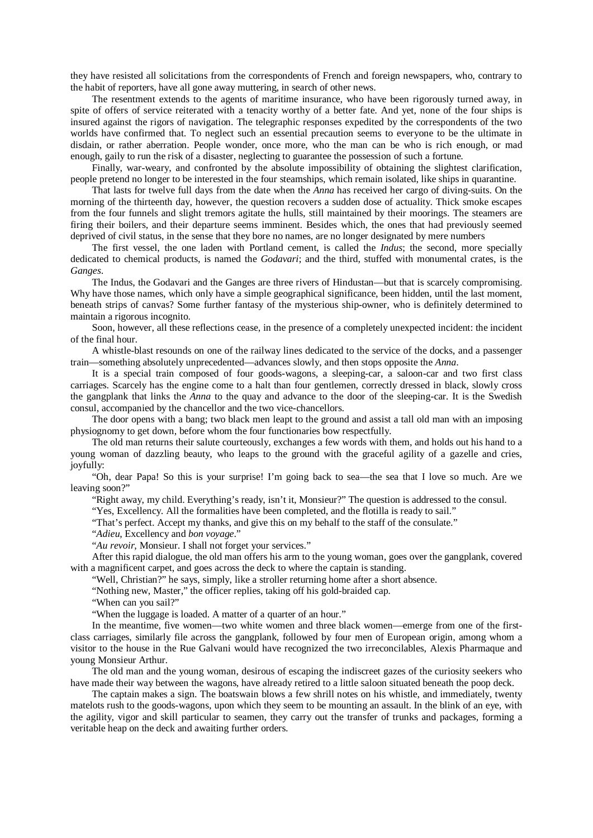they have resisted all solicitations from the correspondents of French and foreign newspapers, who, contrary to the habit of reporters, have all gone away muttering, in search of other news.

The resentment extends to the agents of maritime insurance, who have been rigorously turned away, in spite of offers of service reiterated with a tenacity worthy of a better fate. And yet, none of the four ships is insured against the rigors of navigation. The telegraphic responses expedited by the correspondents of the two worlds have confirmed that. To neglect such an essential precaution seems to everyone to be the ultimate in disdain, or rather aberration. People wonder, once more, who the man can be who is rich enough, or mad enough, gaily to run the risk of a disaster, neglecting to guarantee the possession of such a fortune.

Finally, war-weary, and confronted by the absolute impossibility of obtaining the slightest clarification, people pretend no longer to be interested in the four steamships, which remain isolated, like ships in quarantine.

That lasts for twelve full days from the date when the *Anna* has received her cargo of diving-suits. On the morning of the thirteenth day, however, the question recovers a sudden dose of actuality. Thick smoke escapes from the four funnels and slight tremors agitate the hulls, still maintained by their moorings. The steamers are firing their boilers, and their departure seems imminent. Besides which, the ones that had previously seemed deprived of civil status, in the sense that they bore no names, are no longer designated by mere numbers

The first vessel, the one laden with Portland cement, is called the *Indus*; the second, more specially dedicated to chemical products, is named the *Godavari*; and the third, stuffed with monumental crates, is the *Ganges*.

The Indus, the Godavari and the Ganges are three rivers of Hindustan—but that is scarcely compromising. Why have those names, which only have a simple geographical significance, been hidden, until the last moment, beneath strips of canvas? Some further fantasy of the mysterious ship-owner, who is definitely determined to maintain a rigorous incognito.

Soon, however, all these reflections cease, in the presence of a completely unexpected incident: the incident of the final hour.

A whistle-blast resounds on one of the railway lines dedicated to the service of the docks, and a passenger train—something absolutely unprecedented—advances slowly, and then stops opposite the *Anna*.

It is a special train composed of four goods-wagons, a sleeping-car, a saloon-car and two first class carriages. Scarcely has the engine come to a halt than four gentlemen, correctly dressed in black, slowly cross the gangplank that links the *Anna* to the quay and advance to the door of the sleeping-car. It is the Swedish consul, accompanied by the chancellor and the two vice-chancellors.

The door opens with a bang; two black men leapt to the ground and assist a tall old man with an imposing physiognomy to get down, before whom the four functionaries bow respectfully.

The old man returns their salute courteously, exchanges a few words with them, and holds out his hand to a young woman of dazzling beauty, who leaps to the ground with the graceful agility of a gazelle and cries, joyfully:

"Oh, dear Papa! So this is your surprise! I'm going back to sea—the sea that I love so much. Are we leaving soon?"

"Right away, my child. Everything's ready, isn't it, Monsieur?" The question is addressed to the consul.

"Yes, Excellency. All the formalities have been completed, and the flotilla is ready to sail."

"That's perfect. Accept my thanks, and give this on my behalf to the staff of the consulate."

"*Adieu*, Excellency and *bon voyage*."

"*Au revoir*, Monsieur. I shall not forget your services."

After this rapid dialogue, the old man offers his arm to the young woman, goes over the gangplank, covered with a magnificent carpet, and goes across the deck to where the captain is standing.

"Well, Christian?" he says, simply, like a stroller returning home after a short absence.

"Nothing new, Master," the officer replies, taking off his gold-braided cap.

"When can you sail?"

"When the luggage is loaded. A matter of a quarter of an hour."

In the meantime, five women—two white women and three black women—emerge from one of the firstclass carriages, similarly file across the gangplank, followed by four men of European origin, among whom a visitor to the house in the Rue Galvani would have recognized the two irreconcilables, Alexis Pharmaque and young Monsieur Arthur.

The old man and the young woman, desirous of escaping the indiscreet gazes of the curiosity seekers who have made their way between the wagons, have already retired to a little saloon situated beneath the poop deck.

The captain makes a sign. The boatswain blows a few shrill notes on his whistle, and immediately, twenty matelots rush to the goods-wagons, upon which they seem to be mounting an assault. In the blink of an eye, with the agility, vigor and skill particular to seamen, they carry out the transfer of trunks and packages, forming a veritable heap on the deck and awaiting further orders.